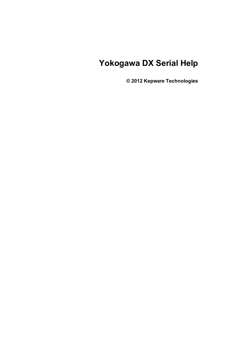# **Yokogawa DX Serial Help**

**© 2012 Kepware Technologies**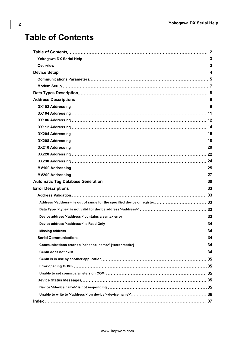# <span id="page-1-0"></span>**Table of Contents**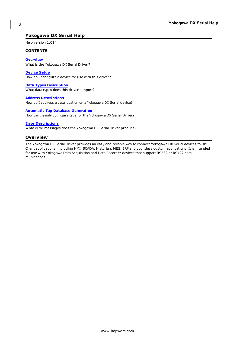## <span id="page-2-0"></span>**Yokogawa DX Serial Help**

Help version 1.014

#### **CONTENTS**

**[Overview](#page-2-1)** What is the Yokogawa DX Serial Driver?

**[Device](#page-3-0) [Setup](#page-3-0)** How do I configure a device for use with this driver?

**[Data](#page-7-0) [Types](#page-7-0) [Description](#page-7-0)** What data types does this driver support?

**[Address](#page-8-0) [Descriptions](#page-8-0)**

How do I address a data location on a Yokogawa DX Serial device?

## **[Automatic](#page-29-0) [Tag](#page-29-0) [Database](#page-29-0) [Generation](#page-29-0)**

How can I easily configure tags for the Yokogawa DX Serial Driver?

## **[Error](#page-32-0) [Descriptions](#page-32-0)**

<span id="page-2-1"></span>What error messages does the Yokogawa DX Serial Driver produce?

## **Overview**

The Yokogawa DX Serial Driver provides an easy and reliable way to connect Yokogawa DX Serial devices to OPC Client applications, including HMI, SCADA, Historian, MES, ERP and countless custom applications. It is intended for use with Yokogawa Data Acquisition and Data Recorder devices that support RS232 or RS422 communications.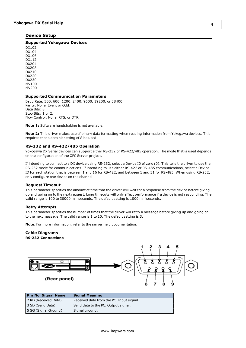## <span id="page-3-0"></span>**Device Setup**

## **Supported Yokogawa Devices**

DX102 DX104 DX106 DX112 DX204 DX208 DX210 DX220 DX230 MV100 MV200

#### **Supported Communication Parameters**

Baud Rate: 300, 600, 1200, 2400, 9600, 19200, or 38400. Parity: None, Even, or Odd. Data Bits: 8 Stop Bits: 1 or 2. Flow Control: None, RTS, or DTR.

**Note 1:** Software handshaking is not available.

**Note 2:** This driver makes use of binary data formatting when reading information from Yokogawa devices. This requires that a data bit setting of 8 be used.

#### **RS-232 and RS-422/485 Operation**

Yokogawa DX Serial devices can support either RS-232 or RS-422/485 operation. The mode that is used depends on the configuration of the OPC Server project.

<span id="page-3-1"></span>If intending to connect to a DX device using RS-232, select a Device ID of zero (0). This tells the driver to use the RS-232 mode for communications. If intending to use either RS-422 or RS-485 communications, select a Device ID for each station that is between 1 and 16 for RS-422, and between 1 and 31 for RS-485. When using RS-232, only configure one device on the channel.

#### **Request Timeout**

This parameter specifies the amount of time that the driver will wait for a response from the device before giving up and going on to the next request. Long timeouts will only affect performance if a device is not responding. The valid range is 100 to 30000 milliseconds. The default setting is 1000 milliseconds.

#### **Retry Attempts**

This parameter specifies the number of times that the driver will retry a message before giving up and going on to the next message. The valid range is 1 to 10. The default setting is 3.

**Note:** For more information, refer to the server help documentation.

#### **Cable Diagrams RS-232 Connections**



| <b>Pin No. Signal Name</b> | <b>Signal Meaning</b>                    |
|----------------------------|------------------------------------------|
| 2 RD (Received Data)       | Received data from the PC. Input signal. |
| 3 SD (Send Data)           | Send data to the PC. Output signal.      |
| 5 SG (Signal Ground)       | Signal ground.                           |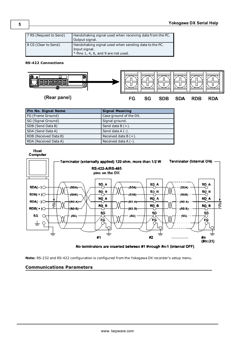## **RS-422 Connections**



| Pin No. Signal Name   | <b>Signal Meaning</b>   |
|-----------------------|-------------------------|
| FG (Frame Ground)     | Case ground of the DX.  |
| SG (Signal Ground)    | Signal ground.          |
| SDB (Send Data B)     | Send data $B(+)$ .      |
| SDA (Send Data A)     | Send data $A(-)$ .      |
| RDB (Received Data B) | Received data $B (+)$ . |
| RDA (Received Data A) | Received data $A(-)$ .  |

Host Computer



No terminators are inserted between #1 through #n-1 (internal OFF)

<span id="page-4-0"></span>**Note:** RS-232 and RS-422 configuration is configured from the Yokogawa DX recorder's setup menu.

## **Communications Parameters**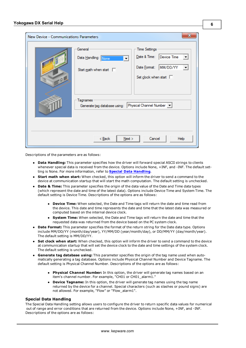| New Device - Communications Parameters |                                                                                                                                       |                                                                                                                                                |  |  |  |
|----------------------------------------|---------------------------------------------------------------------------------------------------------------------------------------|------------------------------------------------------------------------------------------------------------------------------------------------|--|--|--|
| 10 P                                   | General<br>Data Handling: None<br>$\blacktriangledown$<br>Start math when start $\square$<br>Tagnames<br>Generate tag database using: | <b>Time Settings</b><br>Date & Time:<br>Device Time<br>MM/DD/YY<br>Date Format:<br>Set clock when start $\square$<br>Physical Channel Number v |  |  |  |
| Cancel<br>$<$ Back<br>Next<br>Help     |                                                                                                                                       |                                                                                                                                                |  |  |  |

Descriptions of the parameters are as follows:

- **Data Handling:** This parameter specifies how the driver will forward special ASCII strings to clients whenever special data is received from the device. Options include None, +INF, and -INF. The default setting is None. For more information, refer to **[Special](#page-5-0) [Data](#page-5-0) [Handling](#page-5-0)**.
- **Start math when start:** When checked, this option will inform the driver to send a command to the device at communication startup that will start the math computation. The default setting is unchecked.
- **Date & Time:** This parameter specifies the origin of the data value of the Date and Time data types (which represent the date and time of the latest data). Options include Device Time and System Time. The default setting is Device Time. Descriptions of the options are as follows:
	- <sup>l</sup> **Device Time:** When selected, the Date and Time tags will return the date and time read from the device. This date and time represents the date and time that the latest data was measured or computed based on the internal device clock.
	- **System Time:** When selected, the Date and Time tags will return the date and time that the requested data was returned from the device based on the PC system clock.
- **Date Format:** This parameter specifies the format of the return string for the Date data type. Options include MM/DD/YY (month/day/year), YY/MM/DD (year/month/day), or DD/MM/YY (day/month/year). The default setting is MM/DD/YY.
- **Set clock when start:** When checked, this option will inform the driver to send a command to the device at communication startup that will set the device clock to the date and time settings of the system clock. The default setting is unchecked.
- <span id="page-5-0"></span>**6 Generate tag database using:** This parameter specifies the origin of the tag name used when automatically generating a tag database. Options include Physical Channel Number and Device Tagname. The default setting is Physical Channel Number. Descriptions of the options are as follows:
	- **Physical Channel Number:** In this option, the driver will generate tag names based on an item's channel number. For example, "CH01 or CH01\_alarm1."
	- **Device Tagname:** In this option, the driver will generate tag names using the tag name returned by the device for a channel. Special characters (such as slashes or pound signs) are not allowed. For example, "Flow" or "Flow\_alarm1".

#### **Special Data Handling**

The Special Data Handling setting allows users to configure the driver to return specific data values for numerical out of range and error conditions that are returned from the device. Options include None, +INF, and -INF. Descriptions of the options are as follows: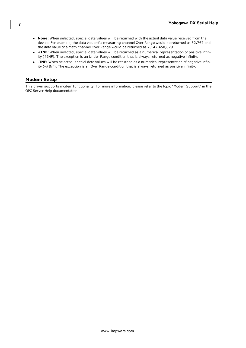- **None:** When selected, special data values will be returned with the actual data value received from the device. For example, the data value of a measuring channel Over Range would be returned as 32,767 and the data value of a math channel Over Range would be returned as 2,147,450,879.
- <sup>l</sup> **+INF:** When selected, special data values will be returned as a numerical representation of positive infinity (#INF). The exception is an Under Range condition that is always returned as negative infinity.
- **INF:** When selected, special data values will be returned as a numerical representation of negative infinity (-#INF). The exception is an Over Range condition that is always returned as positive infinity.

## <span id="page-6-0"></span>**Modem Setup**

This driver supports modem functionality. For more information, please refer to the topic "Modem Support" in the OPC Server Help documentation.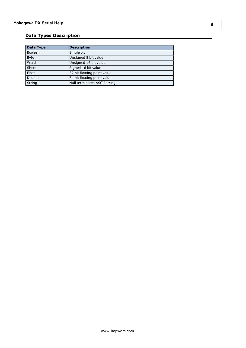## <span id="page-7-0"></span>**Data Types Description**

<span id="page-7-4"></span><span id="page-7-3"></span><span id="page-7-2"></span><span id="page-7-1"></span>

| Data Type   | <b>Description</b>           |
|-------------|------------------------------|
| Boolean     | Single bit                   |
| <b>Byte</b> | Unsigned 8 bit value         |
| Word        | Unsigned 16 bit value        |
| Short       | Signed 16 bit value          |
| Float       | 32 bit floating point value  |
| Double      | 64 bit floating point value  |
| String      | Null terminated ASCII string |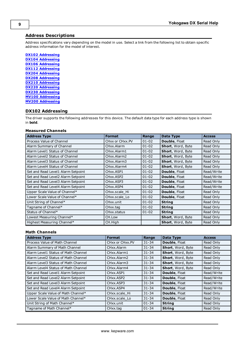## <span id="page-8-0"></span>**Address Descriptions**

Address specifications vary depending on the model in use. Select a link from the following list to obtain specific address information for the model of interest.

**[DX102](#page-8-1) [Addressing](#page-8-1) [DX104](#page-10-0) [Addressing](#page-10-0) [DX106](#page-11-0) [Addressing](#page-11-0) [DX112](#page-13-0) [Addressing](#page-13-0) [DX204](#page-15-0) [Addressing](#page-15-0) [DX208](#page-17-0) [Addressing](#page-17-0) [DX210](#page-19-0) [Addressing](#page-19-0) [DX220](#page-21-0) [Addressing](#page-21-0) [DX230](#page-23-0) [Addressing](#page-23-0) [MV100](#page-24-0) [Addressing](#page-24-0) [MV200](#page-26-0) [Addressing](#page-26-0)**

## <span id="page-8-1"></span>**DX102 Addressing**

The driver supports the following addresses for this device. The default data type for each address type is shown in **bold**.

#### **Measured Channels**

| <b>Address Type</b>                | <b>Format</b>           | Range     | Data Type                | <b>Access</b> |
|------------------------------------|-------------------------|-----------|--------------------------|---------------|
| Process Value of Channel           | CHxx or CHxx.PV         | $01 - 02$ | Double, Float            | Read Only     |
| Alarm Summary of Channel           | CHxx.Alarm              | $01 - 02$ | <b>Short, Word, Byte</b> | Read Only     |
| Alarm Level1 Status of Channel     | CHxx.Alarm1             | $01 - 02$ | <b>Short, Word, Byte</b> | Read Only     |
| Alarm Level2 Status of Channel     | CHxx.Alarm2             | $01 - 02$ | Short, Word, Byte        | Read Only     |
| Alarm Level3 Status of Channel     | CHxx.Alarm3             | $01 - 02$ | <b>Short, Word, Byte</b> | Read Only     |
| Alarm Level4 Status of Channel     | CHxx.Alarm4             | $01 - 02$ | <b>Short, Word, Byte</b> | Read Only     |
| Set and Read Level1 Alarm Setpoint | CHxx.ASP1               | $01 - 02$ | Double, Float            | Read/Write    |
| Set and Read Level2 Alarm Setpoint | CHxx.ASP2               | $01 - 02$ | <b>Double, Float</b>     | Read/Write    |
| Set and Read Level3 Alarm Setpoint | CH <sub>xx</sub> , ASP3 | $01 - 02$ | Double, Float            | Read/Write    |
| Set and Read Level4 Alarm Setpoint | CH <sub>xx</sub> , ASP4 | $01 - 02$ | Double, Float            | Read/Write    |
| Upper Scale Value of Channel*      | CHxx.scale Hi           | $01 - 02$ | <b>Double, Float</b>     | Read Only     |
| Lower Scale Value of Channel*      | CHxx.scale Lo           | $01 - 02$ | <b>Double, Float</b>     | Read Only     |
| Unit String of Channel*            | CHxx.unit               | $01 - 02$ | <b>String</b>            | Read Only     |
| Tagname of Channel*                | CHxx.tag                | $01 - 02$ | <b>String</b>            | Read Only     |
| Status of Channel*                 | CHxx.status             | $01 - 02$ | <b>String</b>            | Read Only     |
| Lowest Measuring Channel*          | CH.Low                  |           | Short, Word, Byte        | Read Only     |
| Highest Measuring Channel*         | CH.High                 |           | Short, Word, Byte        | Read Only     |

## **Math Channels**

| <b>Address Type</b>                  | <b>Format</b>                       | Range     | Data Type         | <b>Access</b> |
|--------------------------------------|-------------------------------------|-----------|-------------------|---------------|
| Process Value of Math Channel        | CHxx or CHxx.PV                     | $31 - 34$ | Double, Float     | Read Only     |
| Alarm Summary of Math Channel        | CHxx.Alarm                          | $31 - 34$ | Short, Word, Byte | Read Only     |
| Alarm Level1 Status of Math Channel  | CHxx.Alarm1                         | $31 - 34$ | Short, Word, Byte | Read Only     |
| Alarm Level2 Status of Math Channel  | CHxx.Alarm2                         | $31 - 34$ | Short, Word, Byte | Read Only     |
| Alarm Level 3 Status of Math Channel | CHxx.Alarm3                         | $31 - 34$ | Short, Word, Byte | Read Only     |
| Alarm Level4 Status of Math Channel  | CHxx.Alarm4                         | $31 - 34$ | Short, Word, Byte | Read Only     |
| Set and Read Level1 Alarm Setpoint   | CHxx.ASP1                           | $31 - 34$ | Double, Float     | Read/Write    |
| Set and Read Level2 Alarm Setpoint   | CH <sub>xx</sub> , ASP <sub>2</sub> | $31 - 34$ | Double, Float     | Read/Write    |
| Set and Read Level3 Alarm Setpoint   | CH <sub>xx</sub> , ASP3             | $31 - 34$ | Double, Float     | Read/Write    |
| Set and Read Level4 Alarm Setpoint   | CH <sub>xx</sub> ASP4               | $31 - 34$ | Double, Float     | Read/Write    |
| Upper Scale Value of Math Channel*   | CHxx.scale Hi                       | $31 - 34$ | Double, Float     | Read Only     |
| Lower Scale Value of Math Channel*   | CHxx.scale Lo                       | $31 - 34$ | Double, Float     | Read Only     |
| Unit String of Math Channel*         | CHxx.unit                           | $01 - 34$ | <b>String</b>     | Read Only     |
| Tagname of Math Channel*             | CHxx.tag                            | $01 - 34$ | <b>String</b>     | Read Only     |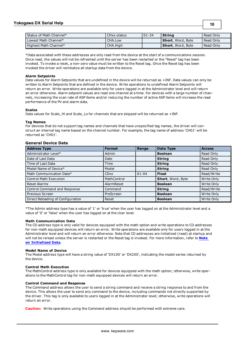## **Yokogawa DX Serial Help**

| Status of Math Channel* | CHxx.status | $101 - 34$ | <b>String</b>             | Read Only |
|-------------------------|-------------|------------|---------------------------|-----------|
| Lowest Math Channel*    | CHA.Low     |            | <b>Short</b> , Word, Byte | Read Only |
| Highest Math Channel*   | CHA.High    |            | <b>Short</b> , Word, Bvte | Read Only |

**10**

<span id="page-9-0"></span>\*Data associated with these addresses are only read from the device at the start of a communications session. Once read, the values will not be refreshed until the server has been restarted or the "Reset" tag has been invoked. To invoke a reset, a non-zero value must be written to the Reset tag. Once the Reset tag has been invoked the driver will reinitialize all startup data from the device.

#### **Alarm Setpoints**

Data values for Alarm Setpoints that are undefined in the device will be returned as +INF. Data values can only be written to Alarm Setpoints that are defined in the device. Write operations to undefined Alarm Setpoints will return an error. Write operations are available only for users logged in at the Administrator level and will return an error otherwise. Alarm setpoint values are read one channel at a time. For devices with a large number of channels, increasing the scan rate of ASP items and/or reducing the number of active ASP items will increase the read performance of the PV and alarm data.

#### **Scales**

Data values for Scale Hi and Scale Lo for channels that are skipped will be returned as +INF.

#### **Tag Names**

For devices that do not support tag names and channels that have unspecified tag names, the driver will construct an internal tag name based on the channel number. For example, the tag name of address 'CH01' will be returned as 'CH01'.

## **General Device Data**

| <b>Address Type</b>               | <b>Format</b> | Range     | Data Type         | <b>Access</b> |
|-----------------------------------|---------------|-----------|-------------------|---------------|
| Administrator Level*              | Admin         |           | <b>Boolean</b>    | Read Only     |
| Date of Last Data                 | Date          |           | <b>String</b>     | Read Only     |
| Time of Last Data                 | Time          |           | <b>String</b>     | Read Only     |
| Model Name of Device*             | Model         |           | String            | Read Only     |
| Math Communication Data*          | <b>CDxx</b>   | $01 - 04$ | <b>Float</b>      | Read/Write    |
| <b>Control Math Execution</b>     | MathControl   |           | Short, Word, Byte | Write Only    |
| <b>Reset Alarms</b>               | AlarmReset    |           | <b>Boolean</b>    | Write Only    |
| Control Command and Response      | Command       |           | <b>String</b>     | Read/Write    |
| Previous Screen                   | PreScreen     |           | <b>Boolean</b>    | Write Only    |
| Direct Reloading of Configuration | Reset         |           | <b>Boolean</b>    | Write Only    |

\*The Admin address type has a value of '1' or 'true' when the user has logged on at the Administrator level and a value of '0' or 'false' when the user has logged on at the User level.

#### **Math Communication Data**

The CD address type is only valid for devices equipped with the math option and write operations to CD addresses for non-math equipped devices will return an error. Write operations are available only for users logged in at the Administrator level and will return an error otherwise. Note that CD addresses are initialized (read) at startup and will not be reread unless the server is restarted or the Reset tag is invoked. For more information, refer to **[Note](#page-9-0) [on](#page-9-0) [Initialized](#page-9-0) [Data](#page-9-0)**.

#### **Model Name of Device**

The Model address type will have a string value of 'DX100' or 'DX200', indicating the model series returned by the device.

#### **Control Math Execution**

The MathControl address type is only available for devices equipped with the math option; otherwise, write operations to the MathControl tag for non-math equipped devices will return an error.

#### **Control Command and Response**

The Command address allows the user to send a string command and receive a string response to and from the device. This allows the user to send any command to the device, including commands not directly supported by the driver. This tag is only available to users logged in at the Administrator level; otherwise, write operations will return an error.

**Caution:** Write operations using the Command address should be performed with extreme care.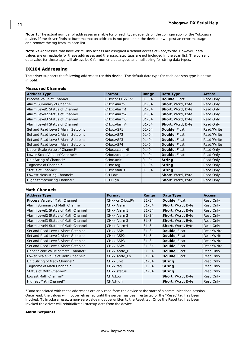**Note 1:** The actual number of addresses available for of each type depends on the configuration of the Yokogawa device. If the driver finds at Runtime that an address is not present in the device, it will post an error message and remove the tag from its scan list.

**Note 2:** Addresses that have Write Only access are assigned a default access of Read/Write. However, data values are unreadable for these addresses and the associated tags are not included in the scan list. The current data value for these tags will always be 0 for numeric data types and null string for string data types.

## <span id="page-10-0"></span>**DX104 Addressing**

The driver supports the following addresses for this device. The default data type for each address type is shown in **bold**.

## **Measured Channels**

| <b>Address Type</b>                | <b>Format</b>           | Range     | Data Type                | <b>Access</b> |
|------------------------------------|-------------------------|-----------|--------------------------|---------------|
| Process Value of Channel           | CHxx or CHxx.PV         | $01 - 04$ | <b>Double, Float</b>     | Read Only     |
| Alarm Summary of Channel           | CHxx.Alarm              | $01 - 04$ | Short, Word, Byte        | Read Only     |
| Alarm Level1 Status of Channel     | CHxx.Alarm1             | $01 - 04$ | Short, Word, Byte        | Read Only     |
| Alarm Level2 Status of Channel     | CHxx.Alarm2             | $01 - 04$ | Short, Word, Byte        | Read Only     |
| Alarm Level3 Status of Channel     | CHxx.Alarm3             | $01 - 04$ | Short, Word, Byte        | Read Only     |
| Alarm Level4 Status of Channel     | CHxx.Alarm4             | $01 - 04$ | Short, Word, Byte        | Read Only     |
| Set and Read Level1 Alarm Setpoint | CHxx.ASP1               | $01 - 04$ | Double, Float            | Read/Write    |
| Set and Read Level2 Alarm Setpoint | CHxx.ASP2               | $01 - 04$ | <b>Double, Float</b>     | Read/Write    |
| Set and Read Level3 Alarm Setpoint | CH <sub>xx</sub> , ASP3 | $01 - 04$ | Double, Float            | Read/Write    |
| Set and Read Level4 Alarm Setpoint | CH <sub>xx</sub> .ASP4  | $01 - 04$ | Double, Float            | Read/Write    |
| Upper Scale Value of Channel*      | CHxx.scale Hi           | $01 - 04$ | Double, Float            | Read Only     |
| Lower Scale Value of Channel*      | CHxx.scale Lo           | $01 - 04$ | Double, Float            | Read Only     |
| Unit String of Channel*            | CHxx.unit               | $01 - 04$ | <b>String</b>            | Read Only     |
| Tagname of Channel*                | CHxx.tag                | $01 - 04$ | <b>String</b>            | Read Only     |
| Status of Channel*                 | CHxx.status             | $01 - 04$ | <b>String</b>            | Read Only     |
| Lowest Measuring Channel*          | CH.Low                  |           | Short, Word, Byte        | Read Only     |
| Highest Measuring Channel*         | CH.High                 |           | <b>Short, Word, Byte</b> | Read Only     |

## **Math Channels**

| <b>Address Type</b>                 | <b>Format</b>           | Range     | Data Type            | <b>Access</b> |
|-------------------------------------|-------------------------|-----------|----------------------|---------------|
| Process Value of Math Channel       | CHxx or CHxx.PV         | $31 - 34$ | <b>Double, Float</b> | Read Only     |
| Alarm Summary of Math Channel       | CHxx.Alarm              | $31 - 34$ | Short, Word, Byte    | Read Only     |
| Alarm Level1 Status of Math Channel | CHxx.Alarm1             | $31 - 34$ | Short, Word, Byte    | Read Only     |
| Alarm Level2 Status of Math Channel | CHxx.Alarm2             | $31 - 34$ | Short, Word, Byte    | Read Only     |
| Alarm Level3 Status of Math Channel | CHxx.Alarm3             | $31 - 34$ | Short, Word, Byte    | Read Only     |
| Alarm Level4 Status of Math Channel | CHxx.Alarm4             | $31 - 34$ | Short, Word, Byte    | Read Only     |
| Set and Read Level1 Alarm Setpoint  | CHxx.ASP1               | $31 - 34$ | <b>Double, Float</b> | Read/Write    |
| Set and Read Level2 Alarm Setpoint  | CHxx.ASP2               | $31 - 34$ | <b>Double, Float</b> | Read/Write    |
| Set and Read Level3 Alarm Setpoint  | CH <sub>xx</sub> , ASP3 | $31 - 34$ | Double, Float        | Read/Write    |
| Set and Read Level4 Alarm Setpoint  | CH <sub>xx</sub> , ASP4 | $31 - 34$ | <b>Double, Float</b> | Read/Write    |
| Upper Scale Value of Math Channel*  | CHxx.scale Hi           | $31 - 34$ | <b>Double, Float</b> | Read Only     |
| Lower Scale Value of Math Channel*  | CHxx.scale Lo           | $31 - 34$ | <b>Double, Float</b> | Read Only     |
| Unit String of Math Channel*        | CHxx.unit               | $31 - 34$ | <b>String</b>        | Read Only     |
| Tagname of Math Channel*            | CHxx.tag                | $31 - 34$ | <b>String</b>        | Read Only     |
| Status of Math Channel*             | CHxx.status             | $31 - 34$ | <b>String</b>        | Read Only     |
| Lowest Math Channel*                | CHA.Low                 |           | Short, Word, Byte    | Read Only     |
| Highest Math Channel*               | CHA.High                |           | Short, Word, Byte    | Read Only     |

<span id="page-10-1"></span>\*Data associated with these addresses are only read from the device at the start of a communications session. Once read, the values will not be refreshed until the server has been restarted or the "Reset" tag has been invoked. To invoke a reset, a non-zero value must be written to the Reset tag. Once the Reset tag has been invoked the driver will reinitialize all startup data from the device.

#### **Alarm Setpoints**

**11**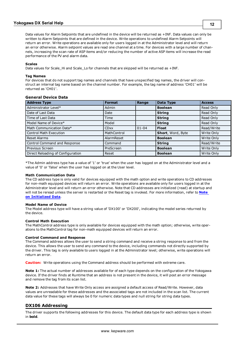Data values for Alarm Setpoints that are undefined in the device will be returned as +INF. Data values can only be written to Alarm Setpoints that are defined in the device. Write operations to undefined Alarm Setpoints will return an error. Write operations are available only for users logged in at the Administrator level and will return an error otherwise. Alarm setpoint values are read one channel at a time. For devices with a large number of channels, increasing the scan rate of ASP items and/or reducing the number of active ASP items will increase the read performance of the PV and alarm data.

#### **Scales**

Data values for Scale\_Hi and Scale\_Lo for channels that are skipped will be returned as +INF.

#### **Tag Names**

For devices that do not support tag names and channels that have unspecified tag names, the driver will construct an internal tag name based on the channel number. For example, the tag name of address 'CH01' will be returned as 'CH01'.

### **General Device Data**

| <b>Address Type</b>               | <b>Format</b> | Range     | Data Type         | <b>Access</b> |
|-----------------------------------|---------------|-----------|-------------------|---------------|
| Administrator Level*              | Admin         |           | <b>Boolean</b>    | Read Only     |
| Date of Last Data                 | Date          |           | <b>String</b>     | Read Only     |
| Time of Last Data                 | Time          |           | <b>String</b>     | Read Only     |
| Model Name of Device*             | Model         |           | <b>String</b>     | Read Only     |
| Math Communication Data*          | <b>CDxx</b>   | $01 - 04$ | <b>Float</b>      | Read/Write    |
| Control Math Execution            | MathControl   |           | Short, Word, Byte | Write Only    |
| Reset Alarms                      | AlarmReset    |           | <b>Boolean</b>    | Write Only    |
| Control Command and Response      | Command       |           | <b>String</b>     | Read/Write    |
| Previous Screen                   | PreScreen     |           | <b>Boolean</b>    | Write Only    |
| Direct Reloading of Configuration | Reset         |           | <b>Boolean</b>    | Write Only    |

\*The Admin address type has a value of '1' or 'true' when the user has logged on at the Administrator level and a value of '0' or 'false' when the user has logged on at the User level.

#### **Math Communication Data**

The CD address type is only valid for devices equipped with the math option and write operations to CD addresses for non-math equipped devices will return an error. Write operations are available only for users logged in at the Administrator level and will return an error otherwise. Note that CD addresses are initialized (read) at startup and will not be reread unless the server is restarted or the Reset tag is invoked. For more information, refer to **[Note](#page-10-1) [on](#page-10-1) [Initialized](#page-10-1) [Data](#page-10-1)**.

#### **Model Name of Device**

The Model address type will have a string value of 'DX100' or 'DX200', indicating the model series returned by the device.

#### **Control Math Execution**

The MathControl address type is only available for devices equipped with the math option; otherwise, write operations to the MathControl tag for non-math equipped devices will return an error.

#### **Control Command and Response**

The Command address allows the user to send a string command and receive a string response to and from the device. This allows the user to send any command to the device, including commands not directly supported by the driver. This tag is only available to users logged in at the Administrator level; otherwise, write operations will return an error.

**Caution:** Write operations using the Command address should be performed with extreme care.

**Note 1:** The actual number of addresses available for of each type depends on the configuration of the Yokogawa device. If the driver finds at Runtime that an address is not present in the device, it will post an error message and remove the tag from its scan list.

**Note 2:** Addresses that have Write Only access are assigned a default access of Read/Write. However, data values are unreadable for these addresses and the associated tags are not included in the scan list. The current data value for these tags will always be 0 for numeric data types and null string for string data types.

## <span id="page-11-0"></span>**DX106 Addressing**

The driver supports the following addresses for this device. The default data type for each address type is shown in **bold**.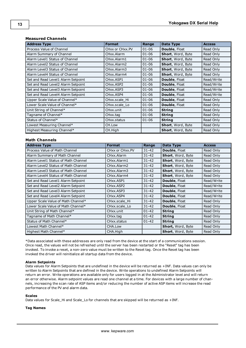## **Measured Channels**

| <b>Address Type</b>                | <b>Format</b>                       | Range     | Data Type            | <b>Access</b> |
|------------------------------------|-------------------------------------|-----------|----------------------|---------------|
| Process Value of Channel           | CHxx or CHxx.PV                     | $01 - 06$ | Double, Float        | Read Only     |
| Alarm Summary of Channel           | CHxx.Alarm                          | $01 - 06$ | Short, Word, Byte    | Read Only     |
| Alarm Level1 Status of Channel     | CHxx.Alarm1                         | $01 - 06$ | Short, Word, Byte    | Read Only     |
| Alarm Level2 Status of Channel     | CHxx.Alarm2                         | $01 - 06$ | Short, Word, Byte    | Read Only     |
| Alarm Level3 Status of Channel     | CHxx.Alarm3                         | $01 - 06$ | Short, Word, Byte    | Read Only     |
| Alarm Level4 Status of Channel     | CHxx.Alarm4                         | $01 - 06$ | Short, Word, Byte    | Read Only     |
| Set and Read Level1 Alarm Setpoint | CHxx.ASP1                           | $01 - 06$ | <b>Double, Float</b> | Read/Write    |
| Set and Read Level2 Alarm Setpoint | CH <sub>xx</sub> , ASP <sub>2</sub> | $01 - 06$ | <b>Double, Float</b> | Read/Write    |
| Set and Read Level3 Alarm Setpoint | CH <sub>xx</sub> , ASP3             | $01 - 06$ | <b>Double, Float</b> | Read/Write    |
| Set and Read Level4 Alarm Setpoint | CH <sub>xx</sub> .ASP4              | $01 - 06$ | <b>Double, Float</b> | Read/Write    |
| Upper Scale Value of Channel*      | CHxx.scale Hi                       | $01 - 06$ | Double, Float        | Read Only     |
| Lower Scale Value of Channel*      | CHxx.scale Lo                       | $01 - 06$ | <b>Double, Float</b> | Read Only     |
| Unit String of Channel*            | CHxx.unit                           | $01 - 06$ | <b>String</b>        | Read Only     |
| Tagname of Channel*                | CHxx.tag                            | $01 - 06$ | <b>String</b>        | Read Only     |
| Status of Channel*                 | CHxx.status                         | $01 - 06$ | <b>String</b>        | Read Only     |
| Lowest Measuring Channel*          | CH.Low                              |           | Short, Word, Byte    | Read Only     |
| Highest Measuring Channel*         | CH.High                             |           | Short, Word, Byte    | Read Only     |

#### **Math Channels**

| <b>Address Type</b>                 | <b>Format</b>                       | Range     | Data Type            | <b>Access</b> |
|-------------------------------------|-------------------------------------|-----------|----------------------|---------------|
| Process Value of Math Channel       | CHxx or CHxx.PV                     | $31 - 42$ | <b>Double, Float</b> | Read Only     |
| Alarm Summary of Math Channel       | CHxx.Alarm                          | $31 - 42$ | Short, Word, Byte    | Read Only     |
| Alarm Level1 Status of Math Channel | CHxx.Alarm1                         | $31 - 42$ | Short, Word, Byte    | Read Only     |
| Alarm Level2 Status of Math Channel | CHxx.Alarm2                         | $31 - 42$ | Short, Word, Byte    | Read Only     |
| Alarm Level3 Status of Math Channel | CHxx.Alarm3                         | $31 - 42$ | Short, Word, Byte    | Read Only     |
| Alarm Level4 Status of Math Channel | CHxx.Alarm4                         | $31 - 42$ | Short, Word, Byte    | Read Only     |
| Set and Read Level1 Alarm Setpoint  | CHxx.ASP1                           | $31 - 42$ | <b>Double, Float</b> | Read/Write    |
| Set and Read Level2 Alarm Setpoint  | CH <sub>xx</sub> , ASP <sub>2</sub> | $31 - 42$ | <b>Double, Float</b> | Read/Write    |
| Set and Read Level3 Alarm Setpoint  | CH <sub>xx</sub> , ASP3             | $31 - 42$ | <b>Double, Float</b> | Read/Write    |
| Set and Read Level4 Alarm Setpoint  | CH <sub>xx</sub> , ASP4             | $31 - 42$ | <b>Double, Float</b> | Read/Write    |
| Upper Scale Value of Math Channel*  | CHxx.scale Hi                       | $31 - 42$ | <b>Double, Float</b> | Read Only     |
| Lower Scale Value of Math Channel*  | CHxx.scale Lo                       | $31 - 42$ | <b>Double, Float</b> | Read Only     |
| Unit String of Math Channel*        | CHxx.unit                           | $01 - 42$ | <b>String</b>        | Read Only     |
| Tagname of Math Channel*            | CHxx.tag                            | $01 - 42$ | <b>String</b>        | Read Only     |
| Status of Math Channel*             | CHxx.status                         | $01 - 42$ | <b>String</b>        | Read Only     |
| Lowest Math Channel*                | CHA.Low                             |           | Short, Word, Byte    | Read Only     |
| Highest Math Channel*               | CHA.High                            |           | Short, Word, Byte    | Read Only     |

<span id="page-12-0"></span>\*Data associated with these addresses are only read from the device at the start of a communications session. Once read, the values will not be refreshed until the server has been restarted or the "Reset" tag has been invoked. To invoke a reset, a non-zero value must be written to the Reset tag. Once the Reset tag has been invoked the driver will reinitialize all startup data from the device.

#### **Alarm Setpoints**

Data values for Alarm Setpoints that are undefined in the device will be returned as +INF. Data values can only be written to Alarm Setpoints that are defined in the device. Write operations to undefined Alarm Setpoints will return an error. Write operations are available only for users logged in at the Administrator level and will return an error otherwise. Alarm setpoint values are read one channel at a time. For devices with a large number of channels, increasing the scan rate of ASP items and/or reducing the number of active ASP items will increase the read performance of the PV and alarm data.

#### **Scales**

Data values for Scale\_Hi and Scale\_Lo for channels that are skipped will be returned as +INF.

#### **Tag Names**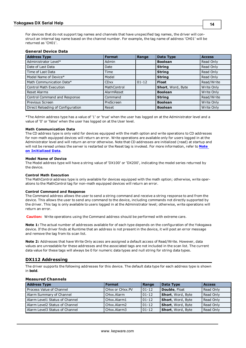For devices that do not support tag names and channels that have unspecified tag names, the driver will construct an internal tag name based on the channel number. For example, the tag name of address 'CH01' will be returned as 'CH01'.

## **General Device Data**

| <b>Address Type</b>               | <b>Format</b> | Range     | Data Type         | <b>Access</b> |
|-----------------------------------|---------------|-----------|-------------------|---------------|
| Administrator Level*              | Admin         |           | <b>Boolean</b>    | Read Only     |
| Date of Last Data                 | Date          |           | <b>String</b>     | Read Only     |
| Time of Last Data                 | Time          |           | <b>String</b>     | Read Only     |
| Model Name of Device*             | Model         |           | <b>String</b>     | Read Only     |
| Math Communication Data*          | <b>CDxx</b>   | $01 - 12$ | <b>Float</b>      | Read/Write    |
| Control Math Execution            | MathControl   |           | Short, Word, Byte | Write Only    |
| <b>Reset Alarms</b>               | AlarmReset    |           | <b>Boolean</b>    | Write Only    |
| Control Command and Response      | Command       |           | <b>String</b>     | Read/Write    |
| Previous Screen                   | PreScreen     |           | <b>Boolean</b>    | Write Only    |
| Direct Reloading of Configuration | Reset         |           | <b>Boolean</b>    | Write Only    |

\*The Admin address type has a value of '1' or 'true' when the user has logged on at the Administrator level and a value of '0' or 'false' when the user has logged on at the User level.

#### **Math Communication Data**

The CD address type is only valid for devices equipped with the math option and write operations to CD addresses for non-math equipped devices will return an error. Write operations are available only for users logged in at the Administrator level and will return an error otherwise. Note that CD addresses are initialized (read) at startup and will not be reread unless the server is restarted or the Reset tag is invoked. For more information, refer to **[Note](#page-12-0) [on](#page-12-0) [Initialized](#page-12-0) [Data](#page-12-0)**.

#### **Model Name of Device**

The Model address type will have a string value of 'DX100' or 'DX200', indicating the model series returned by the device.

#### **Control Math Execution**

The MathControl address type is only available for devices equipped with the math option; otherwise, write operations to the MathControl tag for non-math equipped devices will return an error.

#### **Control Command and Response**

The Command address allows the user to send a string command and receive a string response to and from the device. This allows the user to send any command to the device, including commands not directly supported by the driver. This tag is only available to users logged in at the Administrator level; otherwise, write operations will return an error.

**Caution:** Write operations using the Command address should be performed with extreme care.

**Note 1:** The actual number of addresses available for of each type depends on the configuration of the Yokogawa device. If the driver finds at Runtime that an address is not present in the device, it will post an error message and remove the tag from its scan list.

**Note 2:** Addresses that have Write Only access are assigned a default access of Read/Write. However, data values are unreadable for these addresses and the associated tags are not included in the scan list. The current data value for these tags will always be 0 for numeric data types and null string for string data types.

## <span id="page-13-0"></span>**DX112 Addressing**

The driver supports the following addresses for this device. The default data type for each address type is shown in **bold**.

## **Measured Channels**

| <b>Address Type</b>            | <b>Format</b>   | Range      | Data Type                 | <b>Access</b> |
|--------------------------------|-----------------|------------|---------------------------|---------------|
| Process Value of Channel       | CHxx or CHxx.PV | $01 - 12$  | Double, Float             | Read Only     |
| Alarm Summary of Channel       | CHxx.Alarm      | $101 - 12$ | Short, Word, Byte         | Read Only     |
| Alarm Level1 Status of Channel | CHxx.Alarm1     | $01 - 12$  | Short, Word, Byte         | Read Only     |
| Alarm Level2 Status of Channel | CHxx.Alarm2     | $101 - 12$ | Short, Word, Byte         | Read Only     |
| Alarm Level3 Status of Channel | CHxx.Alarm3     | $01 - 12$  | <b>Short</b> , Word, Byte | Read Only     |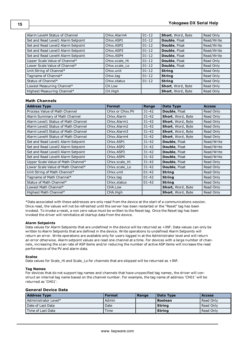| Alarm Level4 Status of Channel     | CHxx.Alarm4                         | $01 - 12$ | Short, Word, Byte        | Read Only  |
|------------------------------------|-------------------------------------|-----------|--------------------------|------------|
| Set and Read Level1 Alarm Setpoint | CHxx.ASP1                           | $01 - 12$ | Double, Float            | Read/Write |
| Set and Read Level2 Alarm Setpoint | CH <sub>xx</sub> , ASP <sub>2</sub> | $01 - 12$ | Double, Float            | Read/Write |
| Set and Read Level3 Alarm Setpoint | CHxx.ASP3                           | $01 - 12$ | Double, Float            | Read/Write |
| Set and Read Level4 Alarm Setpoint | CHxx.ASP4                           | $01 - 12$ | Double, Float            | Read/Write |
| Upper Scale Value of Channel*      | CHxx.scale Hi                       | $01 - 12$ | Double, Float            | Read Only  |
| Lower Scale Value of Channel*      | CHxx.scale Lo                       | $01 - 12$ | Double, Float            | Read Only  |
| Unit String of Channel*            | CHxx.unit                           | $01 - 12$ | <b>String</b>            | Read Only  |
| Tagname of Channel*                | CHxx.tag                            | $01 - 12$ | <b>String</b>            | Read Only  |
| Status of Channel*                 | CHxx.status                         | $01 - 12$ | <b>String</b>            | Read Only  |
| Lowest Measuring Channel*          | CH.Low                              |           | Short, Word, Byte        | Read Only  |
| Highest Measuring Channel*         | CH.High                             |           | <b>Short, Word, Byte</b> | Read Only  |

## **Math Channels**

| <b>Address Type</b>                 | <b>Format</b>                       | Range     | Data Type                | <b>Access</b> |
|-------------------------------------|-------------------------------------|-----------|--------------------------|---------------|
| Process Value of Math Channel       | CHxx or CHxx.PV                     | $31 - 42$ | <b>Double, Float</b>     | Read Only     |
| Alarm Summary of Math Channel       | CHxx.Alarm                          | $31 - 42$ | Short, Word, Byte        | Read Only     |
| Alarm Level1 Status of Math Channel | CHxx.Alarm1                         | $31 - 42$ | Short, Word, Byte        | Read Only     |
| Alarm Level2 Status of Math Channel | CHxx.Alarm2                         | $31 - 42$ | Short, Word, Byte        | Read Only     |
| Alarm Level3 Status of Math Channel | CHxx.Alarm3                         | $31 - 42$ | Short, Word, Byte        | Read Only     |
| Alarm Level4 Status of Math Channel | CHxx.Alarm4                         | $31 - 42$ | Short, Word, Byte        | Read Only     |
| Set and Read Level1 Alarm Setpoint  | CHxx.ASP1                           | $31 - 42$ | <b>Double, Float</b>     | Read/Write    |
| Set and Read Level2 Alarm Setpoint  | CH <sub>xx</sub> , ASP <sub>2</sub> | $31 - 42$ | Double, Float            | Read/Write    |
| Set and Read Level3 Alarm Setpoint  | CHxx.ASP3                           | $31 - 42$ | Double, Float            | Read/Write    |
| Set and Read Level4 Alarm Setpoint  | CH <sub>xx</sub> , ASP4             | $31 - 42$ | Double, Float            | Read/Write    |
| Upper Scale Value of Math Channel*  | CHxx.scale Hi                       | $31 - 42$ | <b>Double, Float</b>     | Read Only     |
| Lower Scale Value of Math Channel*  | CHxx.scale Lo                       | $31 - 42$ | Double, Float            | Read Only     |
| Unit String of Math Channel*        | CHxx.unit                           | $01 - 42$ | <b>String</b>            | Read Only     |
| Tagname of Math Channel*            | CHxx.tag                            | $01 - 42$ | <b>String</b>            | Read Only     |
| Status of Math Channel*             | CH <sub>xx</sub> .status            | $01 - 42$ | <b>String</b>            | Read Only     |
| Lowest Math Channel*                | CHA.Low                             |           | <b>Short, Word, Byte</b> | Read Only     |
| Highest Math Channel*               | CHA.High                            |           | Short, Word, Byte        | Read Only     |

<span id="page-14-0"></span>\*Data associated with these addresses are only read from the device at the start of a communications session. Once read, the values will not be refreshed until the server has been restarted or the "Reset" tag has been invoked. To invoke a reset, a non zero value must be written to the Reset tag. Once the Reset tag has been invoked the driver will reinitialize all startup data from the device.

#### **Alarm Setpoints**

Data values for Alarm Setpoints that are undefined in the device will be returned as +INF. Data values can only be written to Alarm Setpoints that are defined in the device. Write operations to undefined Alarm Setpoints will return an error. Write operations are available only for users logged in at the Administrator level and will return an error otherwise. Alarm setpoint values are read one channel at a time. For devices with a large number of channels, increasing the scan rate of ASP items and/or reducing the number of active ASP items will increase the read performance of the PV and alarm data.

#### **Scales**

Data values for Scale\_Hi and Scale\_Lo for channels that are skipped will be returned as +INF.

#### **Tag Names**

For devices that do not support tag names and channels that have unspecified tag names, the driver will construct an internal tag name based on the channel number. For example, the tag name of address 'CH01' will be returned as 'CH01'.

#### **General Device Data**

| <b>Address Type</b>  | <b>Format</b> | Range | Data Type      | <b>Access</b> |
|----------------------|---------------|-------|----------------|---------------|
| Administrator Level* | Admin         |       | <b>Boolean</b> | Read Only     |
| Date of Last Data    | Date          |       | String         | l Read Only   |
| Time of Last Data    | Time          |       | <b>String</b>  | Read Only     |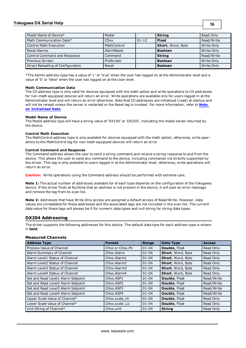## **Yokogawa DX Serial Help**

| Model Name of Device*             | Model       |           | <b>String</b>     | Read Only  |
|-----------------------------------|-------------|-----------|-------------------|------------|
| Math Communication Data*          | <b>CDxx</b> | $01 - 12$ | <b>Float</b>      | Read/Write |
| <b>Control Math Execution</b>     | MathControl |           | Short, Word, Byte | Write Only |
| Reset Alarms                      | AlarmReset  |           | <b>Boolean</b>    | Write Only |
| Control Command and Response      | Command     |           | <b>String</b>     | Read/Write |
| Previous Screen                   | PreScreen   |           | <b>Boolean</b>    | Write Only |
| Direct Reloading of Configuration | Reset       |           | <b>Boolean</b>    | Write Only |

\*The Admin address type has a value of '1' or 'true' when the user has logged on at the Administrator level and a value of '0' or 'false' when the user has logged on at the User level.

#### **Math Communication Data**

The CD address type is only valid for devices equipped with the math option and write operations to CD addresses for non-math equipped devices will return an error. Write operations are available only for users logged in at the Administrator level and will return an error otherwise. Note that CD addresses are initialized (read) at startup and will not be reread unless the server is restarted or the Reset tag is invoked. For more information, refer to **[Note](#page-14-0) [on](#page-14-0) [Initialized](#page-14-0) [Data](#page-14-0)**.

#### **Model Name of Device**

The Model address type will have a string value of 'DX100' or 'DX200', indicating the model series returned by the device.

#### **Control Math Execution**

The MathControl address type is only available for devices equipped with the math option; otherwise, write operations to the MathControl tag for non-math equipped devices will return an error.

#### **Control Command and Response**

The Command address allows the user to send a string command and receive a string response to and from the device. This allows the user to send any command to the device, including commands not directly supported by the driver. This tag is only available to users logged in at the Administrator level; otherwise, write operations will return an error.

**Caution:** Write operations using the Command address should be performed with extreme care.

**Note 1:** The actual number of addresses available for of each type depends on the configuration of the Yokogawa device. If the driver finds at Runtime that an address is not present in the device, it will post an error message and remove the tag from its scan list.

**Note 2:** Addresses that have Write Only access are assigned a default access of Read/Write. However, data values are unreadable for these addresses and the associated tags are not included in the scan list. The current data value for these tags will always be 0 for numeric data types and null string for string data types.

## <span id="page-15-0"></span>**DX204 Addressing**

The driver supports the following addresses for this device. The default data type for each address type is shown in **bold**.

## **Measured Channels**

| <b>Address Type</b>                | <b>Format</b>                     | Range     | Data Type            | <b>Access</b> |
|------------------------------------|-----------------------------------|-----------|----------------------|---------------|
| Process Value of Channel           | CHxx or CHxx.PV                   | $01 - 04$ | Double, Float        | Read Only     |
| Alarm Summary of Channel           | CHxx.Alarm                        | $01 - 04$ | Short, Word, Byte    | Read Only     |
| Alarm Level1 Status of Channel     | CHxx.Alarm1                       | $01 - 04$ | Short, Word, Byte    | Read Only     |
| Alarm Level2 Status of Channel     | CHxx.Alarm2                       | $01 - 04$ | Short, Word, Byte    | Read Only     |
| Alarm Level3 Status of Channel     | CHxx.Alarm3                       | $01 - 04$ | Short, Word, Byte    | Read Only     |
| Alarm Level4 Status of Channel     | CHxx.Alarm4                       | $01 - 04$ | Short, Word, Byte    | Read Only     |
| Set and Read Level1 Alarm Setpoint | CHxx.ASP1                         | $01 - 04$ | Double, Float        | Read/Write    |
| Set and Read Level2 Alarm Setpoint | CH <sub>xx</sub> ASP <sub>2</sub> | $01 - 04$ | Double, Float        | Read/Write    |
| Set and Read Level3 Alarm Setpoint | CH <sub>xx</sub> , ASP3           | $01 - 04$ | Double, Float        | Read/Write    |
| Set and Read Level4 Alarm Setpoint | CH <sub>xx</sub> , ASP4           | $01 - 04$ | Double, Float        | Read/Write    |
| Upper Scale Value of Channel*      | CHxx.scale Hi                     | $01 - 04$ | <b>Double, Float</b> | Read Only     |
| Lower Scale Value of Channel*      | CHxx.scale Lo                     | $01 - 04$ | Double, Float        | Read Only     |
| Unit String of Channel*            | CHxx.unit                         | $01 - 04$ | <b>String</b>        | Read Only     |

**16**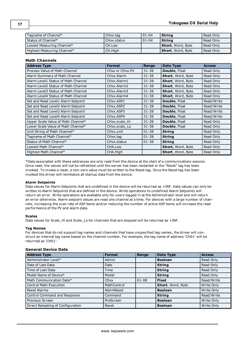| Tagname of Channel*        | CHxx.tag    | $101 - 04$ | <b>String</b>             | Read Only |
|----------------------------|-------------|------------|---------------------------|-----------|
| Status of Channel*         | CHxx.status | $101 - 04$ | <b>String</b>             | Read Only |
| Lowest Measuring Channel*  | CH.Low      |            | <b>Short</b> , Word, Byte | Read Only |
| Highest Measuring Channel* | CH.High     |            | <b>Short</b> , Word, Byte | Read Only |

## **Math Channels**

| <b>Address Type</b>                 | <b>Format</b>   | Range     | Data Type            | <b>Access</b> |
|-------------------------------------|-----------------|-----------|----------------------|---------------|
| Process Value of Math Channel       | CHxx or CHxx.PV | $31 - 38$ | Double, Float        | Read Only     |
| Alarm Summary of Math Channel       | CHxx.Alarm      | $31 - 38$ | Short, Word, Byte    | Read Only     |
| Alarm Level1 Status of Math Channel | CHxx.Alarm1     | $31 - 38$ | Short, Word, Byte    | Read Only     |
| Alarm Level2 Status of Math Channel | CHxx.Alarm2     | $31 - 38$ | Short, Word, Byte    | Read Only     |
| Alarm Level3 Status of Math Channel | CHxx.Alarm3     | $31 - 38$ | Short, Word, Byte    | Read Only     |
| Alarm Level4 Status of Math Channel | CHxx.Alarm4     | $31 - 38$ | Short, Word, Byte    | Read Only     |
| Set and Read Level1 Alarm Setpoint  | CHxx.ASP1       | $31 - 38$ | Double, Float        | Read/Write    |
| Set and Read Level2 Alarm Setpoint  | CHxx.ASP2       | $31 - 38$ | Double, Float        | Read/Write    |
| Set and Read Level3 Alarm Setpoint  | CHxx.ASP3       | $31 - 38$ | Double, Float        | Read/Write    |
| Set and Read Level4 Alarm Setpoint  | CHxx.ASP4       | $31 - 38$ | Double, Float        | Read/Write    |
| Upper Scale Value of Math Channel*  | CHxx.scale Hi   | $31 - 38$ | <b>Double, Float</b> | Read Only     |
| Lower Scale Value of Math Channel*  | CHxx.scale Lo   | $31 - 38$ | <b>Double, Float</b> | Read Only     |
| Unit String of Math Channel*        | CHxx.unit       | $01 - 38$ | <b>String</b>        | Read Only     |
| Tagname of Math Channel*            | CHxx.tag        | $01 - 38$ | <b>String</b>        | Read Only     |
| Status of Math Channel*             | CHxx.status     | $01 - 38$ | <b>String</b>        | Read Only     |
| Lowest Math Channel*                | CHA.Low         |           | Short, Word, Byte    | Read Only     |
| Highest Math Channel*               | CHA.High        |           | Short, Word, Byte    | Read Only     |

<span id="page-16-0"></span>\*Data associated with these addresses are only read from the device at the start of a communications session. Once read, the values will not be refreshed until the server has been restarted or the "Reset" tag has been invoked. To invoke a reset, a non-zero value must be written to the Reset tag. Once the Reset tag has been invoked the driver will reinitialize all startup data from the device.

#### **Alarm Setpoints**

Data values for Alarm Setpoints that are undefined in the device will be returned as +INF. Data values can only be written to Alarm Setpoints that are defined in the device. Write operations to undefined Alarm Setpoints will return an error. Write operations are available only for users logged in at the Administrator level and will return an error otherwise. Alarm setpoint values are read one channel at a time. For devices with a large number of channels, increasing the scan rate of ASP items and/or reducing the number of active ASP items will increase the read performance of the PV and alarm data.

#### **Scales**

Data values for Scale\_Hi and Scale\_Lo for channels that are skipped will be returned as +INF.

#### **Tag Names**

For devices that do not support tag names and channels that have unspecified tag names, the driver will construct an internal tag name based on the channel number. For example, the tag name of address 'CH01' will be returned as 'CH01'.

## **General Device Data**

| <b>Address Type</b>               | <b>Format</b> | Range     | Data Type         | <b>Access</b> |
|-----------------------------------|---------------|-----------|-------------------|---------------|
| Administrator Level*              | Admin         |           | <b>Boolean</b>    | Read Only     |
| Date of Last Data                 | Date          |           | <b>String</b>     | Read Only     |
| Time of Last Data                 | Time          |           | <b>String</b>     | Read Only     |
| Model Name of Device*             | Model         |           | <b>String</b>     | Read Only     |
| Math Communication Data*          | <b>CD</b> xx  | $01 - 08$ | <b>Float</b>      | Read/Write    |
| <b>Control Math Execution</b>     | MathControl   |           | Short, Word, Byte | Write Only    |
| <b>Reset Alarms</b>               | AlarmReset    |           | <b>Boolean</b>    | Write Only    |
| Control Command and Response      | Command       |           | <b>String</b>     | Read/Write    |
| Previous Screen                   | PreScreen     |           | <b>Boolean</b>    | Write Only    |
| Direct Reloading of Configuration | Reset         |           | <b>Boolean</b>    | Write Only    |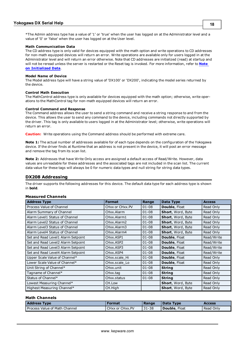#### **Math Communication Data**

The CD address type is only valid for devices equipped with the math option and write operations to CD addresses for non-math equipped devices will return an error. Write operations are available only for users logged in at the Administrator level and will return an error otherwise. Note that CD addresses are initialized (read) at startup and will not be reread unless the server is restarted or the Reset tag is invoked. For more information, refer to **[Note](#page-16-0) [on](#page-16-0) [Initialized](#page-16-0) [Data](#page-16-0)**.

#### **Model Name of Device**

The Model address type will have a string value of 'DX100' or 'DX200', indicating the model series returned by the device.

#### **Control Math Execution**

The MathControl address type is only available for devices equipped with the math option; otherwise, write operations to the MathControl tag for non-math equipped devices will return an error.

#### **Control Command and Response**

The Command address allows the user to send a string command and receive a string response to and from the device. This allows the user to send any command to the device, including commands not directly supported by the driver. This tag is only available to users logged in at the Administrator level; otherwise, write operations will return an error.

**Caution:** Write operations using the Command address should be performed with extreme care.

**Note 1:** The actual number of addresses available for of each type depends on the configuration of the Yokogawa device. If the driver finds at Runtime that an address is not present in the device, it will post an error message and remove the tag from its scan list.

**Note 2:** Addresses that have Write Only access are assigned a default access of Read/Write. However, data values are unreadable for these addresses and the associated tags are not included in the scan list. The current data value for these tags will always be 0 for numeric data types and null string for string data types.

## <span id="page-17-0"></span>**DX208 Addressing**

The driver supports the following addresses for this device. The default data type for each address type is shown in **bold**.

#### **Measured Channels**

| <b>Address Type</b>                | <b>Format</b>                     | Range     | Data Type                | <b>Access</b> |
|------------------------------------|-----------------------------------|-----------|--------------------------|---------------|
| Process Value of Channel           | CHxx or CHxx.PV                   | $01 - 08$ | <b>Double, Float</b>     | Read Only     |
| Alarm Summary of Channel           | CHxx.Alarm                        | $01 - 08$ | Short, Word, Byte        | Read Only     |
| Alarm Level1 Status of Channel     | CHxx.Alarm1                       | $01 - 08$ | Short, Word, Byte        | Read Only     |
| Alarm Level2 Status of Channel     | CHxx.Alarm2                       | $01 - 08$ | Short, Word, Byte        | Read Only     |
| Alarm Level3 Status of Channel     | CHxx.Alarm3                       | $01 - 08$ | Short, Word, Byte        | Read Only     |
| Alarm Level4 Status of Channel     | CHxx.Alarm4                       | $01 - 08$ | Short, Word, Byte        | Read Only     |
| Set and Read Level1 Alarm Setpoint | CH <sub>xx</sub> ASP <sub>1</sub> | $01 - 08$ | <b>Double, Float</b>     | Read/Write    |
| Set and Read Level2 Alarm Setpoint | CHxx.ASP2                         | $01 - 08$ | <b>Double, Float</b>     | Read/Write    |
| Set and Read Level3 Alarm Setpoint | CH <sub>xx</sub> , ASP3           | $01 - 08$ | <b>Double, Float</b>     | Read/Write    |
| Set and Read Level4 Alarm Setpoint | CH <sub>xx</sub> , ASP4           | $01 - 08$ | <b>Double, Float</b>     | Read/Write    |
| Upper Scale Value of Channel*      | CHxx.scale Hi                     | $01 - 08$ | Double, Float            | Read Only     |
| Lower Scale Value of Channel*      | CHxx.scale Lo                     | $01 - 08$ | <b>Double, Float</b>     | Read Only     |
| Unit String of Channel*            | CHxx.unit                         | $01 - 08$ | <b>String</b>            | Read Only     |
| Tagname of Channel*                | CHxx.tag                          | $01 - 08$ | <b>String</b>            | Read Only     |
| Status of Channel*                 | CHxx.status                       | $01 - 08$ | <b>String</b>            | Read Only     |
| Lowest Measuring Channel*          | CH.Low                            |           | Short, Word, Byte        | Read Only     |
| Highest Measuring Channel*         | CH.High                           |           | <b>Short, Word, Byte</b> | Read Only     |

## **Math Channels**

| <b>Address Type</b>                  | Format          | Range      | Data Type             | <b>Access</b> |
|--------------------------------------|-----------------|------------|-----------------------|---------------|
| <b>Process Value of Math Channel</b> | CHxx or CHxx.PV | $131 - 38$ | <b>Double</b> , Float | Read Only     |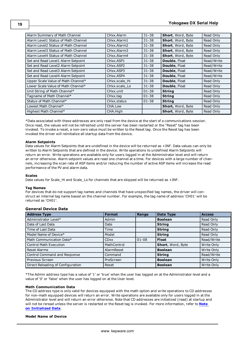| Alarm Summary of Math Channel       | CHxx.Alarm                          | $31 - 38$ | Short, Word, Byte | Read Only  |
|-------------------------------------|-------------------------------------|-----------|-------------------|------------|
| Alarm Level1 Status of Math Channel | CHxx.Alarm1                         | $31 - 38$ | Short, Word, Byte | Read Only  |
| Alarm Level2 Status of Math Channel | CHxx.Alarm2                         | $31 - 38$ | Short, Word, Byte | Read Only  |
| Alarm Level3 Status of Math Channel | CHxx.Alarm3                         | $31 - 38$ | Short, Word, Byte | Read Only  |
| Alarm Level4 Status of Math Channel | CHxx.Alarm4                         | $31 - 38$ | Short, Word, Byte | Read Only  |
| Set and Read Level1 Alarm Setpoint  | CH <sub>xx</sub> .ASP1              | $31 - 38$ | Double, Float     | Read/Write |
| Set and Read Level2 Alarm Setpoint  | CH <sub>xx</sub> , ASP <sub>2</sub> | $31 - 38$ | Double, Float     | Read/Write |
| Set and Read Level3 Alarm Setpoint  | CH <sub>xx</sub> , ASP3             | $31 - 38$ | Double, Float     | Read/Write |
| Set and Read Level4 Alarm Setpoint  | CH <sub>xx</sub> , ASP4             | $31 - 38$ | Double, Float     | Read/Write |
| Upper Scale Value of Math Channel*  | CHxx.scale_Hi                       | $31 - 38$ | Double, Float     | Read Only  |
| Lower Scale Value of Math Channel*  | CHxx.scale Lo                       | $31 - 38$ | Double, Float     | Read Only  |
| Unit String of Math Channel*        | CHxx.unit                           | $01 - 38$ | <b>String</b>     | Read Only  |
| Tagname of Math Channel*            | CHxx.tag                            | $01 - 38$ | <b>String</b>     | Read Only  |
| Status of Math Channel*             | CHxx.status                         | $01 - 38$ | <b>String</b>     | Read Only  |
| Lowest Math Channel*                | CHA.Low                             |           | Short, Word, Byte | Read Only  |
| Highest Math Channel*               | CHA.High                            |           | Short, Word, Byte | Read Only  |

<span id="page-18-0"></span>\*Data associated with these addresses are only read from the device at the start of a communications session. Once read, the values will not be refreshed until the server has been restarted or the "Reset" tag has been invoked. To invoke a reset, a non-zero value must be written to the Reset tag. Once the Reset tag has been invoked the driver will reinitialize all startup data from the device.

#### **Alarm Setpoints**

Data values for Alarm Setpoints that are undefined in the device will be returned as +INF. Data values can only be written to Alarm Setpoints that are defined in the device. Write operations to undefined Alarm Setpoints will return an error. Write operations are available only for users logged in at the Administrator level and will return an error otherwise. Alarm setpoint values are read one channel at a time. For devices with a large number of channels, increasing the scan rate of ASP items and/or reducing the number of active ASP items will increase the read performance of the PV and alarm data.

#### **Scales**

Data values for Scale\_Hi and Scale\_Lo for channels that are skipped will be returned as +INF.

#### **Tag Names**

For devices that do not support tag names and channels that have unspecified tag names, the driver will construct an internal tag name based on the channel number. For example, the tag name of address 'CH01' will be returned as 'CH01'.

## **General Device Data**

| <b>Address Type</b>               | <b>Format</b> | Range     | Data Type         | <b>Access</b> |
|-----------------------------------|---------------|-----------|-------------------|---------------|
| Administrator Level*              | Admin         |           | <b>Boolean</b>    | Read Only     |
| Date of Last Data                 | Date          |           | <b>String</b>     | Read Only     |
| Time of Last Data                 | Time          |           | <b>String</b>     | Read Only     |
| Model Name of Device*             | Model         |           | <b>String</b>     | Read Only     |
| Math Communication Data*          | <b>CDxx</b>   | $01 - 08$ | <b>Float</b>      | Read/Write    |
| <b>Control Math Execution</b>     | MathControl   |           | Short, Word, Byte | Write Only    |
| <b>Reset Alarms</b>               | AlarmReset    |           | <b>Boolean</b>    | Write Only    |
| Control Command and Response      | Command       |           | <b>String</b>     | Read/Write    |
| Previous Screen                   | PreScreen     |           | <b>Boolean</b>    | Write Only    |
| Direct Reloading of Configuration | Reset         |           | <b>Boolean</b>    | Write Only    |

\*The Admin address type has a value of '1' or 'true' when the user has logged on at the Administrator level and a value of '0' or 'false' when the user has logged on at the User level.

#### **Math Communication Data**

The CD address type is only valid for devices equipped with the math option and write operations to CD addresses for non-math equipped devices will return an error. Write operations are available only for users logged in at the Administrator level and will return an error otherwise. Note that CD addresses are initialized (read) at startup and will not be reread unless the server is restarted or the Reset tag is invoked. For more information, refer to **[Note](#page-18-0) [on](#page-18-0) [Initialized](#page-18-0) [Data](#page-18-0)**.

#### **Model Name of Device**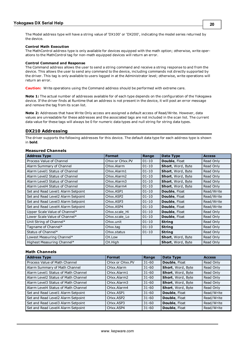#### **Control Math Execution**

The MathControl address type is only available for devices equipped with the math option; otherwise, write operations to the MathControl tag for non-math equipped devices will return an error.

#### **Control Command and Response**

The Command address allows the user to send a string command and receive a string response to and from the device. This allows the user to send any command to the device, including commands not directly supported by the driver. This tag is only available to users logged in at the Administrator level; otherwise, write operations will return an error.

**Caution:** Write operations using the Command address should be performed with extreme care.

**Note 1:** The actual number of addresses available for of each type depends on the configuration of the Yokogawa device. If the driver finds at Runtime that an address is not present in the device, it will post an error message and remove the tag from its scan list.

**Note 2:** Addresses that have Write Only access are assigned a default access of Read/Write. However, data values are unreadable for these addresses and the associated tags are not included in the scan list. The current data value for these tags will always be 0 for numeric data types and null string for string data types.

## <span id="page-19-0"></span>**DX210 Addressing**

The driver supports the following addresses for this device. The default data type for each address type is shown in **bold**.

## **Measured Channels**

| <b>Address Type</b>                | <b>Format</b>            | Range     | Data Type                | <b>Access</b> |
|------------------------------------|--------------------------|-----------|--------------------------|---------------|
| Process Value of Channel           | CHxx or CHxx.PV          | $01 - 10$ | <b>Double, Float</b>     | Read Only     |
| Alarm Summary of Channel           | CHxx.Alarm               | $01 - 10$ | Short, Word, Byte        | Read Only     |
| Alarm Level1 Status of Channel     | CHxx.Alarm1              | $01 - 10$ | <b>Short, Word, Byte</b> | Read Only     |
| Alarm Level2 Status of Channel     | CHxx.Alarm2              | $01 - 10$ | <b>Short, Word, Byte</b> | Read Only     |
| Alarm Level3 Status of Channel     | CHxx.Alarm3              | $01 - 10$ | <b>Short, Word, Byte</b> | Read Only     |
| Alarm Level4 Status of Channel     | CHxx.Alarm4              | $01 - 10$ | <b>Short, Word, Byte</b> | Read Only     |
| Set and Read Level1 Alarm Setpoint | CHxx.ASP1                | $01 - 10$ | Double, Float            | Read/Write    |
| Set and Read Level2 Alarm Setpoint | CHxx.ASP2                | $01 - 10$ | Double, Float            | Read/Write    |
| Set and Read Level3 Alarm Setpoint | CH <sub>xx</sub> , ASP3  | $01 - 10$ | <b>Double, Float</b>     | Read/Write    |
| Set and Read Level4 Alarm Setpoint | CH <sub>xx</sub> , ASP4  | $01 - 10$ | Double, Float            | Read/Write    |
| Upper Scale Value of Channel*      | CHxx.scale Hi            | $01 - 10$ | <b>Double, Float</b>     | Read Only     |
| Lower Scale Value of Channel*      | CHxx.scale Lo            | $01 - 10$ | Double, Float            | Read Only     |
| Unit String of Channel*            | CHxx.unit                | $01 - 10$ | <b>String</b>            | Read Only     |
| Tagname of Channel*                | CHxx.tag                 | $01 - 10$ | <b>String</b>            | Read Only     |
| Status of Channel*                 | CH <sub>xx</sub> .status | $01 - 10$ | <b>String</b>            | Read Only     |
| Lowest Measuring Channel*          | CH.Low                   |           | <b>Short, Word, Byte</b> | Read Only     |
| Highest Measuring Channel*         | CH.High                  |           | <b>Short, Word, Byte</b> | Read Only     |

## **Math Channels**

| <b>Address Type</b>                 | <b>Format</b>                      | Range     | Data Type         | <b>Access</b> |
|-------------------------------------|------------------------------------|-----------|-------------------|---------------|
| Process Value of Math Channel       | CHxx or CHxx.PV                    | $31 - 60$ | Double, Float     | Read Only     |
| Alarm Summary of Math Channel       | CHxx.Alarm                         | $31 - 60$ | Short, Word, Byte | Read Only     |
| Alarm Level1 Status of Math Channel | CHxx. Alarm1                       | $31 - 60$ | Short, Word, Byte | Read Only     |
| Alarm Level2 Status of Math Channel | CHxx.Alarm2                        | $31 - 60$ | Short, Word, Byte | Read Only     |
| Alarm Level3 Status of Math Channel | CHxx.Alarm3                        | $31 - 60$ | Short, Word, Byte | Read Only     |
| Alarm Level4 Status of Math Channel | CHxx.Alarm4                        | $31 - 60$ | Short, Word, Byte | Read Only     |
| Set and Read Level1 Alarm Setpoint  | CH <sub>xx</sub> .ASP <sub>1</sub> | $31 - 60$ | Double, Float     | Read/Write    |
| Set and Read Level2 Alarm Setpoint  | CHxx.ASP2                          | $31 - 60$ | Double, Float     | Read/Write    |
| Set and Read Level3 Alarm Setpoint  | CHxx.ASP3                          | $31 - 60$ | Double, Float     | Read/Write    |
| Set and Read Level4 Alarm Setpoint  | CHxx.ASP4                          | $31 - 60$ | Double, Float     | Read/Write    |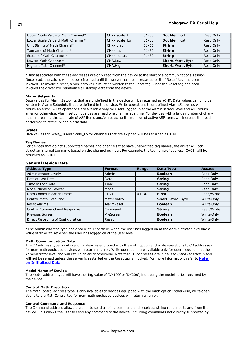| Upper Scale Value of Math Channel* | CHxx.scale Hi | $31 - 60$ | <b>Double, Float</b> | Read Only |
|------------------------------------|---------------|-----------|----------------------|-----------|
| Lower Scale Value of Math Channel* | CHxx.scale Lo | $31 - 60$ | <b>Double, Float</b> | Read Only |
| Unit String of Math Channel*       | CHxx.unit     | $01 - 60$ | <b>String</b>        | Read Only |
| Tagname of Math Channel*           | CHxx.tag      | $01 - 60$ | <b>String</b>        | Read Only |
| Status of Math Channel*            | CHxx.status   | $01 - 60$ | <b>String</b>        | Read Only |
| Lowest Math Channel*               | CHA.Low       |           | Short, Word, Byte    | Read Only |
| Highest Math Channel*              | CHA.High      |           | Short, Word, Byte    | Read Only |

<span id="page-20-0"></span>\*Data associated with these addresses are only read from the device at the start of a communications session. Once read, the values will not be refreshed until the server has been restarted or the "Reset" tag has been invoked. To invoke a reset, a non-zero value must be written to the Reset tag. Once the Reset tag has been invoked the driver will reinitialize all startup data from the device.

### **Alarm Setpoints**

Data values for Alarm Setpoints that are undefined in the device will be returned as +INF. Data values can only be written to Alarm Setpoints that are defined in the device. Write operations to undefined Alarm Setpoints will return an error. Write operations are available only for users logged in at the Administrator level and will return an error otherwise. Alarm setpoint values are read one channel at a time. For devices with a large number of channels, increasing the scan rate of ASP items and/or reducing the number of active ASP items will increase the read performance of the PV and alarm data.

#### **Scales**

Data values for Scale\_Hi and Scale\_Lo for channels that are skipped will be returned as +INF.

#### **Tag Names**

For devices that do not support tag names and channels that have unspecified tag names, the driver will construct an internal tag name based on the channel number. For example, the tag name of address 'CH01' will be returned as 'CH01'.

#### **General Device Data**

| <b>Address Type</b>               | <b>Format</b> | Range     | Data Type         | <b>Access</b> |
|-----------------------------------|---------------|-----------|-------------------|---------------|
| Administrator Level*              | Admin         |           | <b>Boolean</b>    | Read Only     |
| Date of Last Data                 | Date          |           | <b>String</b>     | Read Only     |
| Time of Last Data                 | Time          |           | <b>String</b>     | Read Only     |
| Model Name of Device*             | Model         |           | <b>String</b>     | Read Only     |
| Math Communication Data*          | <b>CDxx</b>   | $01 - 30$ | <b>Float</b>      | Read/Write    |
| <b>Control Math Execution</b>     | MathControl   |           | Short, Word, Byte | Write Only    |
| <b>Reset Alarms</b>               | AlarmReset    |           | <b>Boolean</b>    | Write Only    |
| Control Command and Response      | Command       |           | <b>String</b>     | Read/Write    |
| Previous Screen                   | PreScreen     |           | <b>Boolean</b>    | Write Only    |
| Direct Reloading of Configuration | Reset         |           | <b>Boolean</b>    | Write Only    |

\*The Admin address type has a value of '1' or 'true' when the user has logged on at the Administrator level and a value of '0' or 'false' when the user has logged on at the User level.

#### **Math Communication Data**

The CD address type is only valid for devices equipped with the math option and write operations to CD addresses for non-math equipped devices will return an error. Write operations are available only for users logged in at the Administrator level and will return an error otherwise. Note that CD addresses are initialized (read) at startup and will not be reread unless the server is restarted or the Reset tag is invoked. For more information, refer to **[Note](#page-20-0) [on](#page-20-0) [Initialized](#page-20-0) [Data](#page-20-0)**.

#### **Model Name of Device**

The Model address type will have a string value of 'DX100' or 'DX200', indicating the model series returned by the device.

#### **Control Math Execution**

The MathControl address type is only available for devices equipped with the math option; otherwise, write operations to the MathControl tag for non-math equipped devices will return an error.

#### **Control Command and Response**

The Command address allows the user to send a string command and receive a string response to and from the device. This allows the user to send any command to the device, including commands not directly supported by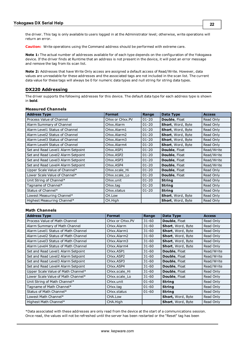**Caution:** Write operations using the Command address should be performed with extreme care.

**Note 1:** The actual number of addresses available for of each type depends on the configuration of the Yokogawa device. If the driver finds at Runtime that an address is not present in the device, it will post an error message and remove the tag from its scan list.

**Note 2:** Addresses that have Write Only access are assigned a default access of Read/Write. However, data values are unreadable for these addresses and the associated tags are not included in the scan list. The current data value for these tags will always be 0 for numeric data types and null string for string data types.

## <span id="page-21-0"></span>**DX220 Addressing**

The driver supports the following addresses for this device. The default data type for each address type is shown in **bold**.

#### **Measured Channels**

| <b>Address Type</b>                | <b>Format</b>           | Range     | Data Type                | <b>Access</b> |
|------------------------------------|-------------------------|-----------|--------------------------|---------------|
| Process Value of Channel           | CHxx or CHxx.PV         | $01 - 20$ | <b>Double, Float</b>     | Read Only     |
| Alarm Summary of Channel           | CHxx.Alarm              | $01 - 20$ | Short, Word, Byte        | Read Only     |
| Alarm Level1 Status of Channel     | CHxx.Alarm1             | $01 - 20$ | <b>Short, Word, Byte</b> | Read Only     |
| Alarm Level2 Status of Channel     | CHxx.Alarm2             | $01 - 20$ | <b>Short, Word, Byte</b> | Read Only     |
| Alarm Level3 Status of Channel     | CHxx.Alarm3             | $01 - 20$ | <b>Short, Word, Byte</b> | Read Only     |
| Alarm Level4 Status of Channel     | CHxx.Alarm4             | $01 - 20$ | <b>Short, Word, Byte</b> | Read Only     |
| Set and Read Level1 Alarm Setpoint | CHxx.ASP1               | $01 - 20$ | <b>Double, Float</b>     | Read/Write    |
| Set and Read Level2 Alarm Setpoint | CHxx.ASP2               | $01 - 20$ | <b>Double, Float</b>     | Read/Write    |
| Set and Read Level3 Alarm Setpoint | CH <sub>xx</sub> , ASP3 | $01 - 20$ | <b>Double, Float</b>     | Read/Write    |
| Set and Read Level4 Alarm Setpoint | CH <sub>xx</sub> , ASP4 | $01 - 20$ | <b>Double, Float</b>     | Read/Write    |
| Upper Scale Value of Channel*      | CHxx.scale Hi           | $01 - 20$ | <b>Double, Float</b>     | Read Only     |
| Lower Scale Value of Channel*      | CHxx.scale Lo           | $01 - 20$ | <b>Double, Float</b>     | Read Only     |
| Unit String of Channel*            | CHxx.unit               | $01 - 20$ | <b>String</b>            | Read Only     |
| Tagname of Channel*                | CHxx.tag                | $01 - 20$ | <b>String</b>            | Read Only     |
| Status of Channel*                 | CHxx.status             | $01 - 20$ | <b>String</b>            | Read Only     |
| Lowest Measuring Channel*          | CH.Low                  |           | <b>Short, Word, Byte</b> | Read Only     |
| Highest Measuring Channel*         | CH.High                 |           | <b>Short, Word, Byte</b> | Read Only     |

## **Math Channels**

| <b>Address Type</b>                 | <b>Format</b>   | Range     | Data Type            | <b>Access</b> |
|-------------------------------------|-----------------|-----------|----------------------|---------------|
| Process Value of Math Channel       | CHxx or CHxx.PV | $31 - 60$ | <b>Double, Float</b> | Read Only     |
| Alarm Summary of Math Channel       | CHxx.Alarm      | $31 - 60$ | Short, Word, Byte    | Read Only     |
| Alarm Level1 Status of Math Channel | CHxx.Alarm1     | $31 - 60$ | Short, Word, Byte    | Read Only     |
| Alarm Level2 Status of Math Channel | CHxx.Alarm2     | $31 - 60$ | Short, Word, Byte    | Read Only     |
| Alarm Level3 Status of Math Channel | CHxx.Alarm3     | $31 - 60$ | Short, Word, Byte    | Read Only     |
| Alarm Level4 Status of Math Channel | CHxx.Alarm4     | $31 - 60$ | Short, Word, Byte    | Read Only     |
| Set and Read Level1 Alarm Setpoint  | CHxx.ASP1       | $31 - 60$ | Double, Float        | Read/Write    |
| Set and Read Level2 Alarm Setpoint  | CHxx.ASP2       | $31 - 60$ | <b>Double, Float</b> | Read/Write    |
| Set and Read Level3 Alarm Setpoint  | CHxx.ASP3       | $31 - 60$ | Double, Float        | Read/Write    |
| Set and Read Level4 Alarm Setpoint  | CHxx.ASP4       | $31 - 60$ | <b>Double, Float</b> | Read/Write    |
| Upper Scale Value of Math Channel*  | CHxx.scale Hi   | $31 - 60$ | <b>Double, Float</b> | Read Only     |
| Lower Scale Value of Math Channel*  | CHxx.scale Lo   | $31 - 60$ | Double, Float        | Read Only     |
| Unit String of Math Channel*        | CHxx.unit       | $01 - 60$ | <b>String</b>        | Read Only     |
| Tagname of Math Channel*            | CHxx.tag        | $01 - 60$ | <b>String</b>        | Read Only     |
| Status of Math Channel*             | CHxx.status     | $01 - 60$ | <b>String</b>        | Read Only     |
| Lowest Math Channel*                | CHA.Low         |           | Short, Word, Byte    | Read Only     |
| Highest Math Channel*               | CHA.High        |           | Short, Word, Byte    | Read Only     |

<span id="page-21-1"></span>\*Data associated with these addresses are only read from the device at the start of a communications session. Once read, the values will not be refreshed until the server has been restarted or the "Reset" tag has been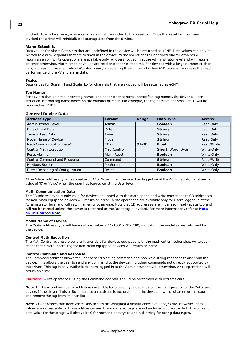invoked. To invoke a reset, a non-zero value must be written to the Reset tag. Once the Reset tag has been invoked the driver will reinitialize all startup data from the device.

#### **Alarm Setpoints**

Data values for Alarm Setpoints that are undefined in the device will be returned as +INF. Data values can only be written to Alarm Setpoints that are defined in the device. Write operations to undefined Alarm Setpoints will return an error. Write operations are available only for users logged in at the Administrator level and will return an error otherwise. Alarm setpoint values are read one channel at a time. For devices with a large number of channels, increasing the scan rate of ASP items and/or reducing the number of active ASP items will increase the read performance of the PV and alarm data.

#### **Scales**

Data values for Scale\_Hi and Scale\_Lo for channels that are skipped will be returned as +INF.

#### **Tag Names**

For devices that do not support tag names and channels that have unspecified tag names, the driver will construct an internal tag name based on the channel number. For example, the tag name of address 'CH01' will be returned as 'CH01'.

### **General Device Data**

| <b>Address Type</b>               | <b>Format</b> | Range     | Data Type         | <b>Access</b> |
|-----------------------------------|---------------|-----------|-------------------|---------------|
| Administrator Level*              | Admin         |           | <b>Boolean</b>    | Read Only     |
| Date of Last Data                 | Date          |           | <b>String</b>     | Read Only     |
| Time of Last Data                 | Time          |           | <b>String</b>     | Read Only     |
| Model Name of Device*             | Model         |           | <b>String</b>     | Read Only     |
| Math Communication Data*          | <b>CDxx</b>   | $01 - 30$ | <b>Float</b>      | Read/Write    |
| <b>Control Math Execution</b>     | MathControl   |           | Short, Word, Byte | Write Only    |
| <b>Reset Alarms</b>               | AlarmReset    |           | <b>Boolean</b>    | Write Only    |
| Control Command and Response      | Command       |           | <b>String</b>     | Read/Write    |
| Previous Screen                   | PreScreen     |           | <b>Boolean</b>    | Write Only    |
| Direct Reloading of Configuration | Reset         |           | <b>Boolean</b>    | Write Only    |

\*The Admin address type has a value of '1' or 'true' when the user has logged on at the Administrator level and a value of '0' or 'false' when the user has logged on at the User level.

#### **Math Communication Data**

The CD address type is only valid for devices equipped with the math option and write operations to CD addresses for non-math equipped devices will return an error. Write operations are available only for users logged in at the Administrator level and will return an error otherwise. Note that CD addresses are initialized (read) at startup and will not be reread unless the server is restarted or the Reset tag is invoked. For more information, refer to **[Note](#page-21-1) [on](#page-21-1) [Initialized](#page-21-1) [Data](#page-21-1)**.

#### **Model Name of Device**

The Model address type will have a string value of 'DX100' or 'DX200', indicating the model series returned by the device.

#### **Control Math Execution**

The MathControl address type is only available for devices equipped with the math option; otherwise, write operations to the MathControl tag for non-math equipped devices will return an error.

#### **Control Command and Response**

The Command address allows the user to send a string command and receive a string response to and from the device. This allows the user to send any command to the device, including commands not directly supported by the driver. This tag is only available to users logged in at the Administrator level; otherwise, write operations will return an error.

**Caution:** Write operations using the Command address should be performed with extreme care.

**Note 1:** The actual number of addresses available for of each type depends on the configuration of the Yokogawa device. If the driver finds at Runtime that an address is not present in the device, it will post an error message and remove the tag from its scan list.

**Note 2:** Addresses that have Write Only access are assigned a default access of Read/Write. However, data values are unreadable for these addresses and the associated tags are not included in the scan list. The current data value for these tags will always be 0 for numeric data types and null string for string data types.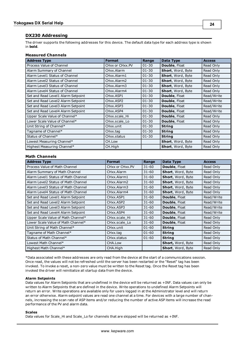## <span id="page-23-0"></span>**DX230 Addressing**

The driver supports the following addresses for this device. The default data type for each address type is shown in **bold**.

## **Measured Channels**

| <b>Address Type</b>                | <b>Format</b>                         | Range     | <b>Data Type</b>         | <b>Access</b> |
|------------------------------------|---------------------------------------|-----------|--------------------------|---------------|
| Process Value of Channel           | CHxx or CHxx.PV                       | $01 - 30$ | Double, Float            | Read Only     |
| Alarm Summary of Channel           | CHxx.Alarm                            | $01 - 30$ | <b>Short, Word, Byte</b> | Read Only     |
| Alarm Level1 Status of Channel     | CHxx.Alarm1                           | $01 - 30$ | <b>Short, Word, Byte</b> | Read Only     |
| Alarm Level2 Status of Channel     | CHxx.Alarm2                           | $01 - 30$ | Short, Word, Byte        | Read Only     |
| Alarm Level3 Status of Channel     | CH <sub>xx</sub> . Alarm <sub>3</sub> | $01 - 30$ | <b>Short, Word, Byte</b> | Read Only     |
| Alarm Level4 Status of Channel     | CHxx.Alarm4                           | $01 - 30$ | <b>Short, Word, Byte</b> | Read Only     |
| Set and Read Level1 Alarm Setpoint | CHxx.ASP1                             | $01 - 30$ | Double, Float            | Read/Write    |
| Set and Read Level2 Alarm Setpoint | CHxx.ASP2                             | $01 - 30$ | Double, Float            | Read/Write    |
| Set and Read Level3 Alarm Setpoint | CH <sub>xx</sub> , ASP3               | $01 - 30$ | Double, Float            | Read/Write    |
| Set and Read Level4 Alarm Setpoint | CH <sub>xx</sub> , ASP4               | $01 - 30$ | Double, Float            | Read/Write    |
| Upper Scale Value of Channel*      | CHxx.scale Hi                         | $01 - 30$ | <b>Double, Float</b>     | Read Only     |
| Lower Scale Value of Channel*      | CHxx.scale Lo                         | $01 - 30$ | <b>Double, Float</b>     | Read Only     |
| Unit String of Channel*            | CH <sub>xx</sub> unit                 | $01 - 30$ | <b>String</b>            | Read Only     |
| Tagname of Channel*                | CHxx.tag                              | $01 - 30$ | <b>String</b>            | Read Only     |
| Status of Channel*                 | CH <sub>xx</sub> .status              | $01 - 30$ | <b>String</b>            | Read Only     |
| Lowest Measuring Channel*          | CH.Low                                |           | <b>Short, Word, Byte</b> | Read Only     |
| Highest Measuring Channel*         | CH.High                               |           | Short, Word, Byte        | Read Only     |

### **Math Channels**

| <b>Address Type</b>                 | <b>Format</b>   | Range     | Data Type                | <b>Access</b> |
|-------------------------------------|-----------------|-----------|--------------------------|---------------|
| Process Value of Math Channel       | CHxx or CHxx.PV | $31 - 60$ | <b>Double, Float</b>     | Read Only     |
| Alarm Summary of Math Channel       | CHxx.Alarm      | $31 - 60$ | Short, Word, Byte        | Read Only     |
| Alarm Level1 Status of Math Channel | CHxx.Alarm1     | $31 - 60$ | Short, Word, Byte        | Read Only     |
| Alarm Level2 Status of Math Channel | CHxx.Alarm2     | $31 - 60$ | Short, Word, Byte        | Read Only     |
| Alarm Level3 Status of Math Channel | CHxx.Alarm3     | $31 - 60$ | Short, Word, Byte        | Read Only     |
| Alarm Level4 Status of Math Channel | CHxx.Alarm4     | $31 - 60$ | Short, Word, Byte        | Read Only     |
| Set and Read Level1 Alarm Setpoint  | CHxx.ASP1       | $31 - 60$ | <b>Double, Float</b>     | Read/Write    |
| Set and Read Level2 Alarm Setpoint  | CHxx.ASP2       | $31 - 60$ | <b>Double, Float</b>     | Read/Write    |
| Set and Read Level3 Alarm Setpoint  | CHxx.ASP3       | $31 - 60$ | <b>Double, Float</b>     | Read/Write    |
| Set and Read Level4 Alarm Setpoint  | CHxx.ASP4       | $31 - 60$ | <b>Double, Float</b>     | Read/Write    |
| Upper Scale Value of Math Channel*  | CHxx.scale Hi   | $31 - 60$ | <b>Double, Float</b>     | Read Only     |
| Lower Scale Value of Math Channel*  | CHxx.scale Lo   | $31 - 60$ | <b>Double, Float</b>     | Read Only     |
| Unit String of Math Channel*        | CHxx.unit       | $01 - 60$ | <b>String</b>            | Read Only     |
| Tagname of Math Channel*            | CHxx.tag        | $01 - 60$ | <b>String</b>            | Read Only     |
| Status of Math Channel*             | CHxx.status     | $01 - 60$ | <b>String</b>            | Read Only     |
| Lowest Math Channel*                | CHA.Low         |           | <b>Short, Word, Byte</b> | Read Only     |
| Highest Math Channel*               | CHA.High        |           | Short, Word, Byte        | Read Only     |

<span id="page-23-1"></span>\*Data associated with these addresses are only read from the device at the start of a communications session. Once read, the values will not be refreshed until the server has been restarted or the "Reset" tag has been invoked. To invoke a reset, a non-zero value must be written to the Reset tag. Once the Reset tag has been invoked the driver will reinitialize all startup data from the device.

#### **Alarm Setpoints**

Data values for Alarm Setpoints that are undefined in the device will be returned as +INF. Data values can only be written to Alarm Setpoints that are defined in the device. Write operations to undefined Alarm Setpoints will return an error. Write operations are available only for users logged in at the Administrator level and will return an error otherwise. Alarm setpoint values are read one channel at a time. For devices with a large number of channels, increasing the scan rate of ASP items and/or reducing the number of active ASP items will increase the read performance of the PV and alarm data.

#### **Scales**

Data values for Scale\_Hi and Scale\_Lo for channels that are skipped will be returned as +INF.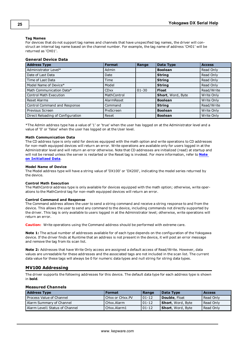#### **Tag Names**

For devices that do not support tag names and channels that have unspecified tag names, the driver will construct an internal tag name based on the channel number. For example, the tag name of address 'CH01' will be returned as 'CH01'.

## **General Device Data**

| <b>Address Type</b>               | <b>Format</b> | Range     | Data Type         | <b>Access</b> |
|-----------------------------------|---------------|-----------|-------------------|---------------|
| Administrator Level*              | Admin         |           | <b>Boolean</b>    | Read Only     |
| Date of Last Data                 | Date          |           | <b>String</b>     | Read Only     |
| Time of Last Data                 | Time          |           | <b>String</b>     | Read Only     |
| Model Name of Device*             | Model         |           | <b>String</b>     | Read Only     |
| Math Communication Data*          | <b>CDxx</b>   | $01 - 30$ | <b>Float</b>      | Read/Write    |
| <b>Control Math Execution</b>     | MathControl   |           | Short, Word, Byte | Write Only    |
| <b>Reset Alarms</b>               | AlarmReset    |           | <b>Boolean</b>    | Write Only    |
| Control Command and Response      | Command       |           | <b>String</b>     | Read/Write    |
| Previous Screen                   | PreScreen     |           | <b>Boolean</b>    | Write Only    |
| Direct Reloading of Configuration | Reset         |           | <b>Boolean</b>    | Write Only    |

\*The Admin address type has a value of '1' or 'true' when the user has logged on at the Administrator level and a value of '0' or 'false' when the user has logged on at the User level.

#### **Math Communication Data**

The CD address type is only valid for devices equipped with the math option and write operations to CD addresses for non-math equipped devices will return an error. Write operations are available only for users logged in at the Administrator level and will return an error otherwise. Note that CD addresses are initialized (read) at startup and will not be reread unless the server is restarted or the Reset tag is invoked. For more information, refer to **[Note](#page-23-1) [on](#page-23-1) [Initialized](#page-23-1) [Data](#page-23-1)**.

#### **Model Name of Device**

The Model address type will have a string value of 'DX100' or 'DX200', indicating the model series returned by the device.

#### **Control Math Execution**

The MathControl address type is only available for devices equipped with the math option; otherwise, write operations to the MathControl tag for non-math equipped devices will return an error.

#### **Control Command and Response**

The Command address allows the user to send a string command and receive a string response to and from the device. This allows the user to send any command to the device, including commands not directly supported by the driver. This tag is only available to users logged in at the Administrator level; otherwise, write operations will return an error.

**Caution:** Write operations using the Command address should be performed with extreme care.

**Note 1:** The actual number of addresses available for of each type depends on the configuration of the Yokogawa device. If the driver finds at Runtime that an address is not present in the device, it will post an error message and remove the tag from its scan list.

**Note 2:** Addresses that have Write Only access are assigned a default access of Read/Write. However, data values are unreadable for these addresses and the associated tags are not included in the scan list. The current data value for these tags will always be 0 for numeric data types and null string for string data types.

## <span id="page-24-0"></span>**MV100 Addressing**

The driver supports the following addresses for this device. The default data type for each address type is shown in **bold**.

#### **Measured Channels**

| <b>Address Type</b>            | Format          | Range      | Data Type                 | <b>Access</b> |
|--------------------------------|-----------------|------------|---------------------------|---------------|
| Process Value of Channel       | CHxx or CHxx.PV | $101 - 12$ | Double, Float             | Read Only     |
| Alarm Summary of Channel       | l CHxx.Alarm    | $01-12$    | <b>Short</b> , Word, Byte | Read Only     |
| Alarm Level1 Status of Channel | CHxx.Alarm1     | 01-12      | <b>Short</b> , Word, Byte | Read Only     |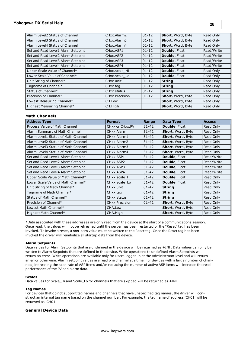## **Yokogawa DX Serial Help**

| Alarm Level2 Status of Channel     | CHxx.Alarm2                       | $01 - 12$ | Short, Word, Byte        | Read Only  |
|------------------------------------|-----------------------------------|-----------|--------------------------|------------|
| Alarm Level3 Status of Channel     | CHxx.Alarm3                       | $01 - 12$ | Short, Word, Byte        | Read Only  |
| Alarm Level4 Status of Channel     | CHxx.Alarm4                       | $01 - 12$ | Short, Word, Byte        | Read Only  |
| Set and Read Level1 Alarm Setpoint | CH <sub>xx</sub> ASP <sub>1</sub> | $01 - 12$ | Double, Float            | Read/Write |
| Set and Read Level2 Alarm Setpoint | CHxx.ASP2                         | $01 - 12$ | Double, Float            | Read/Write |
| Set and Read Level3 Alarm Setpoint | CHxx.ASP3                         | $01 - 12$ | Double, Float            | Read/Write |
| Set and Read Level4 Alarm Setpoint | CH <sub>xx</sub> , ASP4           | $01 - 12$ | <b>Double, Float</b>     | Read/Write |
| Upper Scale Value of Channel*      | CHxx.scale Hi                     | $01 - 12$ | Double, Float            | Read Only  |
| Lower Scale Value of Channel*      | CHxx.scale Lo                     | $01 - 12$ | <b>Double, Float</b>     | Read Only  |
| Unit String of Channel*            | CHxx.unit                         | $01 - 12$ | <b>String</b>            | Read Only  |
| Tagname of Channel*                | CHxx.tag                          | $01 - 12$ | <b>String</b>            | Read Only  |
| Status of Channel*                 | CH <sub>xx</sub> .status          | $01 - 12$ | <b>String</b>            | Read Only  |
| Precision of Channel*              | CHxx.Precision                    | $01 - 12$ | Short, Word, Byte        | Read Only  |
| Lowest Measuring Channel*          | CH.Low                            |           | Short, Word, Byte        | Read Only  |
| Highest Measuring Channel*         | CH.High                           |           | <b>Short, Word, Byte</b> | Read Only  |

**26**

## **Math Channels**

| <b>Address Type</b>                 | <b>Format</b>                       | Range     | Data Type            | <b>Access</b> |
|-------------------------------------|-------------------------------------|-----------|----------------------|---------------|
| Process Value of Math Channel       | CHxx or CHxx.PV                     | $31 - 42$ | <b>Double, Float</b> | Read Only     |
| Alarm Summary of Math Channel       | CHxx.Alarm                          | $31 - 42$ | Short, Word, Byte    | Read Only     |
| Alarm Level1 Status of Math Channel | CHxx.Alarm1                         | $31 - 42$ | Short, Word, Byte    | Read Only     |
| Alarm Level2 Status of Math Channel | CHxx.Alarm2                         | $31 - 42$ | Short, Word, Byte    | Read Only     |
| Alarm Level3 Status of Math Channel | CHxx.Alarm3                         | $31 - 42$ | Short, Word, Byte    | Read Only     |
| Alarm Level4 Status of Math Channel | CHxx.Alarm4                         | $31 - 42$ | Short, Word, Byte    | Read Only     |
| Set and Read Level1 Alarm Setpoint  | CHxx.ASP1                           | $31 - 42$ | Double, Float        | Read/Write    |
| Set and Read Level2 Alarm Setpoint  | CH <sub>xx</sub> , ASP <sub>2</sub> | $31 - 42$ | Double, Float        | Read/Write    |
| Set and Read Level3 Alarm Setpoint  | CHxx.ASP3                           | $31 - 42$ | <b>Double, Float</b> | Read/Write    |
| Set and Read Level4 Alarm Setpoint  | CHxx.ASP4                           | $31 - 42$ | Double, Float        | Read/Write    |
| Upper Scale Value of Math Channel*  | CHxx.scale Hi                       | $31 - 42$ | Double, Float        | Read Only     |
| Lower Scale Value of Math Channel*  | CHxx.scale Lo                       | $31 - 42$ | Double, Float        | Read Only     |
| Unit String of Math Channel*        | CHxx.unit                           | $01 - 42$ | <b>String</b>        | Read Only     |
| Tagname of Math Channel*            | CHxx.tag                            | $01 - 42$ | <b>String</b>        | Read Only     |
| Status of Math Channel*             | CHxx.status                         | $01 - 42$ | <b>String</b>        | Read Only     |
| Precision of Channel*               | CH <sub>xx</sub> Precision          | $01 - 42$ | Short, Word, Byte    | Read Only     |
| Lowest Math Channel*                | CHA.Low                             |           | Short, Word, Byte    | Read Only     |
| Highest Math Channel*               | CHA.High                            |           | Short, Word, Byte    | Read Only     |

<span id="page-25-0"></span>\*Data associated with these addresses are only read from the device at the start of a communications session. Once read, the values will not be refreshed until the server has been restarted or the "Reset" tag has been invoked. To invoke a reset, a non-zero value must be written to the Reset tag. Once the Reset tag has been invoked the driver will reinitialize all startup data from the device.

#### **Alarm Setpoints**

Data values for Alarm Setpoints that are undefined in the device will be returned as +INF. Data values can only be written to Alarm Setpoints that are defined in the device. Write operations to undefined Alarm Setpoints will return an error. Write operations are available only for users logged in at the Administrator level and will return an error otherwise. Alarm setpoint values are read one channel at a time. For devices with a large number of channels, increasing the scan rate of ASP items and/or reducing the number of active ASP items will increase the read performance of the PV and alarm data.

#### **Scales**

Data values for Scale\_Hi and Scale\_Lo for channels that are skipped will be returned as +INF.

#### **Tag Names**

For devices that do not support tag names and channels that have unspecified tag names, the driver will construct an internal tag name based on the channel number. For example, the tag name of address 'CH01' will be returned as 'CH01'.

## **General Device Data**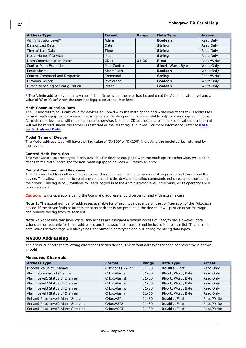| <b>Address Type</b>               | <b>Format</b> | Range     | Data Type         | <b>Access</b> |
|-----------------------------------|---------------|-----------|-------------------|---------------|
| Administrator Level*              | Admin         |           | <b>Boolean</b>    | Read Only     |
| Date of Last Data                 | Date          |           | <b>String</b>     | Read Only     |
| Time of Last Data                 | Time          |           | <b>String</b>     | Read Only     |
| Model Name of Device*             | Model         |           | <b>String</b>     | Read Only     |
| Math Communication Data*          | <b>CDxx</b>   | $01 - 30$ | <b>Float</b>      | Read/Write    |
| <b>Control Math Execution</b>     | MathControl   |           | Short, Word, Byte | Write Only    |
| <b>Reset Alarms</b>               | AlarmReset    |           | <b>Boolean</b>    | Write Only    |
| Control Command and Response      | Command       |           | <b>String</b>     | Read/Write    |
| Previous Screen                   | PreScreen     |           | <b>Boolean</b>    | Write Only    |
| Direct Reloading of Configuration | Reset         |           | <b>Boolean</b>    | Write Only    |

\* The Admin address type has a value of '1' or 'true' when the user has logged on at the Administrator level and a value of '0' or 'false' when the user has logged on at the User level.

#### **Math Communication Data**

The CD address type is only valid for devices equipped with the math option and write operations to CD addresses for non-math equipped devices will return an error. Write operations are available only for users logged in at the Administrator level and will return an error otherwise. Note that CD addresses are initialized (read) at startup and will not be reread unless the server is restarted or the Reset tag is invoked. For more information, refer to **[Note](#page-25-0) [on](#page-25-0) [Initialized](#page-25-0) [Data](#page-25-0)**.

#### **Model Name of Device**

The Model address type will have a string value of 'DX100' or 'DX200', indicating the model series returned by the device.

#### **Control Math Execution**

The MathControl address type is only available for devices equipped with the math option; otherwise, write operations to the MathControl tag for non-math equipped devices will return an error.

#### **Control Command and Response**

The Command address allows the user to send a string command and receive a string response to and from the device. This allows the user to send any command to the device, including commands not directly supported by the driver. This tag is only available to users logged in at the Administrator level; otherwise, write operations will return an error.

**Caution:** Write operations using the Command address should be performed with extreme care.

**Note 1:** The actual number of addresses available for of each type depends on the configuration of the Yokogawa device. If the driver finds at Runtime that an address is not present in the device, it will post an error message and remove the tag from its scan list.

**Note 2:** Addresses that have Write Only access are assigned a default access of Read/Write. However, data values are unreadable for these addresses and the associated tags are not included in the scan list. The current data value for these tags will always be 0 for numeric data types and null string for string data types.

## <span id="page-26-0"></span>**MV200 Addressing**

The driver supports the following addresses for this device. The default data type for each address type is shown in **bold**.

### **Measured Channels**

| <b>Address Type</b>                | <b>Format</b>           | Range     | Data Type            | <b>Access</b> |
|------------------------------------|-------------------------|-----------|----------------------|---------------|
| Process Value of Channel           | CHxx or CHxx.PV         | $01 - 30$ | Double, Float        | Read Only     |
| Alarm Summary of Channel           | CHxx.Alarm              | $01 - 30$ | Short, Word, Byte    | Read Only     |
| Alarm Level1 Status of Channel     | CHxx.Alarm1             | $01 - 30$ | Short, Word, Byte    | Read Only     |
| Alarm Level2 Status of Channel     | CHxx.Alarm2             | $01 - 30$ | Short, Word, Byte    | Read Only     |
| Alarm Level3 Status of Channel     | CHxx.Alarm3             | $01 - 30$ | Short, Word, Byte    | Read Only     |
| Alarm Level4 Status of Channel     | CHxx.Alarm4             | $01 - 30$ | Short, Word, Byte    | Read Only     |
| Set and Read Level1 Alarm Setpoint | CHxx.ASP1               | $01 - 30$ | <b>Double, Float</b> | Read/Write    |
| Set and Read Level2 Alarm Setpoint | CHxx.ASP2               | $01 - 30$ | <b>Double, Float</b> | Read/Write    |
| Set and Read Level3 Alarm Setpoint | CH <sub>xx</sub> , ASP3 | $01 - 30$ | Double, Float        | Read/Write    |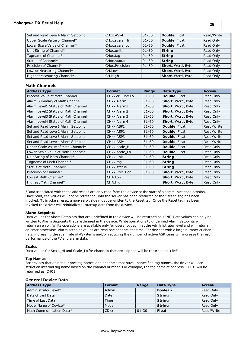## **Yokogawa DX Serial Help**

**28**

| Set and Read Level4 Alarm Setpoint | CHxx.ASP4                | $ 01-30 $ | <b>Double, Float</b> | Read/Write |
|------------------------------------|--------------------------|-----------|----------------------|------------|
| Upper Scale Value of Channel*      | CHxx.scale Hi            | 01-30     | Double, Float        | Read Only  |
| Lower Scale Value of Channel*      | CHxx.scale Lo            | $01 - 30$ | Double, Float        | Read Only  |
| Unit String of Channel*            | CHxx.unit                | $ 01-30 $ | <b>String</b>        | Read Only  |
| Tagname of Channel*                | CHxx.tag                 | 01-30     | <b>String</b>        | Read Only  |
| Status of Channel*                 | CH <sub>xx</sub> .status | $01 - 30$ | <b>String</b>        | Read Only  |
| Precision of Channel*              | CHxx.Precision           | $01 - 30$ | Short, Word, Byte    | Read Only  |
| Lowest Measuring Channel*          | CH.Low                   |           | Short, Word, Byte    | Read Only  |
| Highest Measuring Channel*         | CH.High                  |           | Short, Word, Byte    | Read Only  |

## **Math Channels**

| <b>Address Type</b>                 | <b>Format</b>   | Range     | Data Type            | <b>Access</b> |
|-------------------------------------|-----------------|-----------|----------------------|---------------|
| Process Value of Math Channel       | CHxx or CHxx.PV | $31 - 60$ | <b>Double, Float</b> | Read Only     |
| Alarm Summary of Math Channel       | CHxx.Alarm      | $31 - 60$ | Short, Word, Byte    | Read Only     |
| Alarm Level1 Status of Math Channel | CHxx.Alarm1     | $31 - 60$ | Short, Word, Byte    | Read Only     |
| Alarm Level2 Status of Math Channel | CHxx.Alarm2     | $31 - 60$ | Short, Word, Byte    | Read Only     |
| Alarm Level3 Status of Math Channel | CHxx.Alarm3     | $31 - 60$ | Short, Word, Byte    | Read Only     |
| Alarm Level4 Status of Math Channel | CHxx.Alarm4     | $31 - 60$ | Short, Word, Byte    | Read Only     |
| Set and Read Level1 Alarm Setpoint  | CHxx.ASP1       | $31 - 60$ | Double, Float        | Read/Write    |
| Set and Read Level2 Alarm Setpoint  | CHxx.ASP2       | $31 - 60$ | Double, Float        | Read/Write    |
| Set and Read Level3 Alarm Setpoint  | CHxx.ASP3       | $31 - 60$ | <b>Double, Float</b> | Read/Write    |
| Set and Read Level4 Alarm Setpoint  | CHxx.ASP4       | $31 - 60$ | <b>Double, Float</b> | Read/Write    |
| Upper Scale Value of Math Channel*  | CHxx.scale Hi   | $31 - 60$ | <b>Double, Float</b> | Read Only     |
| Lower Scale Value of Math Channel*  | CHxx.scale_Lo   | $31 - 60$ | Double, Float        | Read Only     |
| Unit String of Math Channel*        | CHxx.unit       | $01 - 60$ | <b>String</b>        | Read Only     |
| Tagname of Math Channel*            | CHxx.tag        | $01 - 60$ | <b>String</b>        | Read Only     |
| Status of Math Channel*             | CHxx.status     | $01 - 60$ | <b>String</b>        | Read Only     |
| Precision of Channel*               | CHxx.Precision  | $01 - 60$ | Short, Word, Byte    | Read Only     |
| Lowest Math Channel*                | CHA.Low         |           | Short, Word, Byte    | Read Only     |
| Highest Math Channel*               | CHA.High        |           | Short, Word, Byte    | Read Only     |

<span id="page-27-0"></span>\*Data associated with these addresses are only read from the device at the start of a communications session. Once read, the values will not be refreshed until the server has been restarted or the "Reset" tag has been invoked. To invoke a reset, a non-zero value must be written to the Reset tag. Once the Reset tag has been invoked the driver will reinitialize all startup data from the device.

#### **Alarm Setpoints**

Data values for Alarm Setpoints that are undefined in the device will be returned as +INF. Data values can only be written to Alarm Setpoints that are defined in the device. Write operations to undefined Alarm Setpoints will return an error. Write operations are available only for users logged in at the Administrator level and will return an error otherwise. Alarm setpoint values are read one channel at a time. For devices with a large number of channels, increasing the scan rate of ASP items and/or reducing the number of active ASP items will increase the read performance of the PV and alarm data.

#### **Scales**

Data values for Scale\_Hi and Scale\_Lo for channels that are skipped will be returned as +INF.

## **Tag Names**

For devices that do not support tag names and channels that have unspecified tag names, the driver will construct an internal tag name based on the channel number. For example, the tag name of address 'CH01' will be returned as 'CH01'.

## **General Device Data**

| <b>Address Type</b>      | <b>Format</b> | Range     | <b>Data Type</b> | <b>Access</b> |
|--------------------------|---------------|-----------|------------------|---------------|
| Administrator Level*     | Admin         |           | <b>Boolean</b>   | Read Only     |
| Date of Last Data        | Date          |           | String           | Read Only     |
| Time of Last Data        | Time          |           | String           | Read Only     |
| Model Name of Device*    | Model         |           | String           | Read Only     |
| Math Communication Data* | <b>CD</b> xx  | $01 - 30$ | <b>Float</b>     | Read/Write    |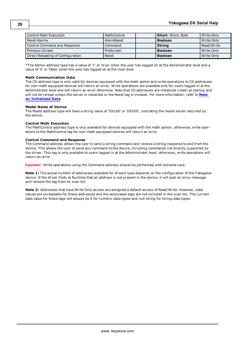| Control Math Execution            | MathControl | <b>Short</b> , Word, Byte | Write Only |
|-----------------------------------|-------------|---------------------------|------------|
| l Reset Alarms                    | AlarmReset  | l Boolean                 | Write Only |
| Control Command and Response      | Command     | String                    | Read/Write |
| Previous Screen                   | PreScreen   | <b>Boolean</b>            | Write Only |
| Direct Reloading of Configuration | Reset       | <b>Boolean</b>            | Write Only |

\*The Admin address type has a value of '1' or 'true' when the user has logged on at the Administrator level and a value of '0' or 'false' when the user has logged on at the User level.

#### **Math Communication Data**

The CD address type is only valid for devices equipped with the math option and write operations to CD addresses for non-math equipped devices will return an error. Write operations are available only for users logged in at the Administrator level and will return an error otherwise. Note that CD addresses are initialized (read) at startup and will not be reread unless the server is restarted or the Reset tag is invoked. For more information, refer to **[Note](#page-27-0) [on](#page-27-0) [Initialized](#page-27-0) [Data](#page-27-0)**.

#### **Model Name of Device**

The Model address type will have a string value of 'DX100' or 'DX200', indicating the model series returned by the device.

### **Control Math Execution**

The MathControl address type is only available for devices equipped with the math option; otherwise, write operations to the MathControl tag for non-math equipped devices will return an error.

### **Control Command and Response**

The Command address allows the user to send a string command and receive a string response to and from the device. This allows the user to send any command to the device, including commands not directly supported by the driver. This tag is only available to users logged in at the Administrator level; otherwise, write operations will return an error.

**Caution:** Write operations using the Command address should be performed with extreme care.

**Note 1:** The actual number of addresses available for of each type depends on the configuration of the Yokogawa device. If the driver finds at Runtime that an address is not present in the device, it will post an error message and remove the tag from its scan list.

**Note 2:** Addresses that have Write Only access are assigned a default access of Read/Write. However, data values are unreadable for these addresses and the associated tags are not included in the scan list. The current data value for these tags will always be 0 for numeric data types and null string for string data types.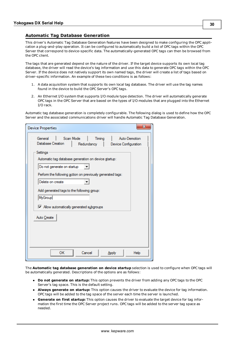## <span id="page-29-0"></span>**Automatic Tag Database Generation**

This driver's Automatic Tag Database Generation features have been designed to make configuring the OPC application a plug-and-play operation. It can be configured to automatically build a list of OPC tags within the OPC Server that correspond to device-specific data. The automatically-generated OPC tags can then be browsed from the OPC client.

The tags that are generated depend on the nature of the driver. If the target device supports its own local tag database, the driver will read the device's tag information and use this data to generate OPC tags within the OPC Server. If the device does not natively support its own named tags, the driver will create a list of tags based on driver-specific information. An example of these two conditions is as follows:

- 1. A data acquisition system that supports its own local tag database. The driver will use the tag names found in the device to build the OPC Server's OPC tags.
- 2. An Ethernet I/O system that supports I/O module type detection. The driver will automatically generate OPC tags in the OPC Server that are based on the types of I/O modules that are plugged into the Ethernet I/O rack.

Automatic tag database generation is completely configurable. The following dialog is used to define how the OPC Server and the associated communications driver will handle Automatic Tag Database Generation.

| <b>Device Properties</b>                                         |            |        |                                       | х    |
|------------------------------------------------------------------|------------|--------|---------------------------------------|------|
| Scan Mode<br>General<br>Database Creation                        | Redundancy | Timing | Auto-Demotion<br>Device Configuration |      |
| Settings<br>Automatic tag database generation on device startup: |            |        |                                       |      |
| Do not generate on startup                                       |            |        |                                       |      |
| Perform the following action on previously generated tags:       |            |        |                                       |      |
| Delete on create<br>Add generated tags to the following group:   |            |        |                                       |      |
| MyGroup                                                          |            |        |                                       |      |
| M Allow automatically generated subgroups                        |            |        |                                       |      |
| Auto Create                                                      |            |        |                                       |      |
|                                                                  |            |        |                                       |      |
|                                                                  |            |        |                                       |      |
|                                                                  |            |        |                                       |      |
| ок                                                               | Cancel     |        | Apply                                 | Help |

The **Automatic tag database generation on device startup** selection is used to configure when OPC tags will be automatically generated. Descriptions of the options are as follows:

- **Do not generate on startup:** This option prevents the driver from adding any OPC tags to the OPC Server's tag space. This is the default setting.
- **Always generate on startup:** This option causes the driver to evaluate the device for tag information. OPC tags will be added to the tag space of the server each time the server is launched.
- **Generate on first startup:** This option causes the driver to evaluate the target device for tag information the first time the OPC Server project runs. OPC tags will be added to the server tag space as needed.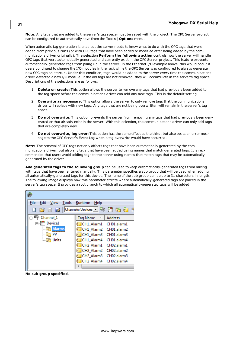**Note:** Any tags that are added to the server's tag space must be saved with the project. The OPC Server project can be configured to automatically save from the **Tools** | **Options** menu.

When automatic tag generation is enabled, the server needs to know what to do with the OPC tags that were added from previous runs (or with OPC tags that have been added or modified after being added by the communications driver originally). The selection **Perform the following action** controls how the server will handle OPC tags that were automatically generated and currently exist in the OPC Server project. This feature prevents automatically-generated tags from piling up in the server. In the Ethernet I/O example above, this would occur if users continued to change the I/O modules in the rack while the OPC Server was configured to always generate new OPC tags on startup. Under this condition, tags would be added to the server every time the communications driver detected a new I/O module. If the old tags are not removed, they will accumulate in the server's tag space. Descriptions of the selections are as follows:

- 1. **Delete on create:** This option allows the server to remove any tags that had previously been added to the tag space before the communications driver can add any new tags. This is the default setting.
- 2. **Overwrite as necessary:** This option allows the server to only remove tags that the communications driver will replace with new tags. Any tags that are not being overwritten will remain in the server's tag space.
- 3. **Do not overwrite:** This option prevents the server from removing any tags that had previously been generated or that already exist in the server. With this selection, the communications driver can only add tags that are completely new.
- 4. **Do not overwrite, log error:** This option has the same effect as the third, but also posts an error message to the OPC Server's Event Log when a tag overwrite would have occurred.

**Note:** The removal of OPC tags not only affects tags that have been automatically generated by the communications driver, but also any tags that have been added using names that match generated tags. It is recommended that users avoid adding tags to the server using names that match tags that may be automatically generated by the driver.

**Add generated tags to the following group** can be used to keep automatically-generated tags from mixing with tags that have been entered manually. This parameter specifies a sub group that will be used when adding all automatically-generated tags for this device. The name of the sub group can be up to 31 characters in length. The following image displays how this parameter affects where automatically-generated tags are placed in the server's tag space. It provides a root branch to which all automatically-generated tags will be added.

| File<br>Edit<br>View<br>$\begin{array}{c} \begin{array}{c} \begin{array}{c} \end{array} \\ \begin{array}{c} \end{array} \end{array} \end{array} \begin{array}{c} \begin{array}{c} \end{array} \end{array} \begin{array}{c} \begin{array}{c} \end{array} \end{array} \begin{array}{c} \end{array} \begin{array}{c} \end{array} \end{array}$ | Tools Runtime<br>Help<br>噾 |
|--------------------------------------------------------------------------------------------------------------------------------------------------------------------------------------------------------------------------------------------------------------------------------------------------------------------------------------------|----------------------------|
|                                                                                                                                                                                                                                                                                                                                            | Address<br>Tag Name        |
| Device1                                                                                                                                                                                                                                                                                                                                    | CH1_Alarm1<br>CH01.alarm1  |
| <b>Alarms</b>                                                                                                                                                                                                                                                                                                                              | CH1 Alarm2<br>CH01.alarm2  |
| PV                                                                                                                                                                                                                                                                                                                                         | CH1_Alarm3 CH01.alarm3     |
| Units                                                                                                                                                                                                                                                                                                                                      | CH1 Alarm4<br>CH01.alarm4  |
|                                                                                                                                                                                                                                                                                                                                            | CH2 Alarm1 CH02.alarm1     |
|                                                                                                                                                                                                                                                                                                                                            | CH2_Alarm2 CH02.alarm2     |
|                                                                                                                                                                                                                                                                                                                                            | CH2 Alarm3 CH02.alarm3     |
|                                                                                                                                                                                                                                                                                                                                            | CH2 Alarm4 CH02.alarm4     |
|                                                                                                                                                                                                                                                                                                                                            |                            |

**No sub group specified.**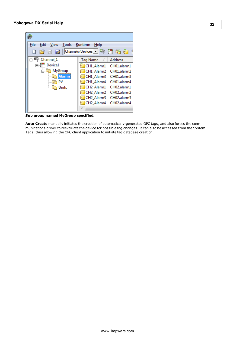| File<br>Edit<br>Tools Runtime<br>View                                                           | Help                               |                |
|-------------------------------------------------------------------------------------------------|------------------------------------|----------------|
| $\begin{array}{c} \text{I} & \text{I} & \text{I} \\ \text{I} & \text{I} & \text{I} \end{array}$ |                                    |                |
| □ Channel 1                                                                                     | Tag Name<br>Λ.                     | <b>Address</b> |
| Device1                                                                                         | CH1 Alarm1                         | CH01.alarm1    |
| ⊟ MyGroup                                                                                       | CH1 Alarm2                         | CH01.alarm2    |
| <b>Alarms</b>                                                                                   | CH1 Alarm3                         | CH01.alarm3    |
| PV                                                                                              | CH1 Alarm4                         | CH01.alarm4    |
| Units                                                                                           | CH <sub>2</sub> Alarm1             | CH02.alarm1    |
|                                                                                                 | CH <sub>2</sub> Alarm <sub>2</sub> | CH02.alarm2    |
|                                                                                                 | CH <sub>2</sub> Alarm <sub>3</sub> | CH02.alarm3    |
|                                                                                                 | CH <sub>2</sub> Alarm4             | CH02.alarm4    |
|                                                                                                 |                                    |                |

**Sub group named MyGroup specified.**

**Auto Create** manually initiates the creation of automatically-generated OPC tags, and also forces the communications driver to reevaluate the device for possible tag changes. It can also be accessed from the System Tags, thus allowing the OPC client application to initiate tag database creation.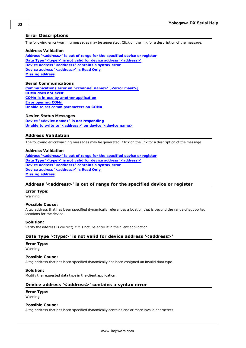## <span id="page-32-0"></span>**Error Descriptions**

The following error/warning messages may be generated. Click on the link for a description of the message.

#### **Address Validation**

**[Address](#page-32-2) ['<address>'](#page-32-2) [is](#page-32-2) [out](#page-32-2) [of](#page-32-2) [range](#page-32-2) [for](#page-32-2) [the](#page-32-2) [specified](#page-32-2) [device](#page-32-2) [or](#page-32-2) [register](#page-32-2) [Data](#page-32-3) [Type](#page-32-3) ['<type>'](#page-32-3) [is](#page-32-3) [not](#page-32-3) [valid](#page-32-3) [for](#page-32-3) [device](#page-32-3) [address](#page-32-3) ['<address>'](#page-32-3) [Device](#page-32-4) [address](#page-32-4) ['<address>'](#page-32-4) [contains](#page-32-4) [a](#page-32-4) [syntax](#page-32-4) [error](#page-32-4) [Device](#page-33-0) [address](#page-33-0) ['<address>'](#page-33-0) [is](#page-33-0) [Read](#page-33-0) [Only](#page-33-0) [Missing](#page-33-1) [address](#page-33-1)**

### **Serial Communications**

**[Communications](#page-33-3) [error](#page-33-3) [on](#page-33-3) ['<channel](#page-33-3) [name>'](#page-33-3) [\[<error](#page-33-3) [mask>\]](#page-33-3) [COMn](#page-33-4) [does](#page-33-4) [not](#page-33-4) [exist](#page-33-4) [COMn](#page-34-0) [is](#page-34-0) [in](#page-34-0) [use](#page-34-0) [by](#page-34-0) [another](#page-34-0) [application](#page-34-0) [Error](#page-34-1) [opening](#page-34-1) [COMn](#page-34-1) [Unable](#page-34-2) [to](#page-34-2) [set](#page-34-2) [comm](#page-34-2) [parameters](#page-34-2) [on](#page-34-2) [COMn](#page-34-2)**

## **Device Status Messages**

**[Device](#page-34-4) ['<device](#page-34-4) [name>'](#page-34-4) [is](#page-34-4) [not](#page-34-4) [responding](#page-34-4) [Unable](#page-35-0) [to](#page-35-0) [write](#page-35-0) [to](#page-35-0) ['<address>'](#page-35-0) [on](#page-35-0) [device](#page-35-0) ['<device](#page-35-0) [name>](#page-35-0)**

## <span id="page-32-1"></span>**Address Validation**

The following error/warning messages may be generated. Click on the link for a description of the message.

### **Address Validation**

**[Address](#page-32-2) ['<address>'](#page-32-2) [is](#page-32-2) [out](#page-32-2) [of](#page-32-2) [range](#page-32-2) [for](#page-32-2) [the](#page-32-2) [specified](#page-32-2) [device](#page-32-2) [or](#page-32-2) [register](#page-32-2) [Data](#page-32-3) [Type](#page-32-3) ['<type>'](#page-32-3) [is](#page-32-3) [not](#page-32-3) [valid](#page-32-3) [for](#page-32-3) [device](#page-32-3) [address](#page-32-3) ['<address>'](#page-32-3) [Device](#page-32-4) [address](#page-32-4) ['<address>'](#page-32-4) [contains](#page-32-4) [a](#page-32-4) [syntax](#page-32-4) [error](#page-32-4) [Device](#page-33-0) [address](#page-33-0) ['<address>'](#page-33-0) [is](#page-33-0) [Read](#page-33-0) [Only](#page-33-0) [Missing](#page-33-1) [address](#page-33-1)**

## <span id="page-32-2"></span>**Address '<address>' is out of range for the specified device or register**

**Error Type:**

Warning

#### **Possible Cause:**

A tag address that has been specified dynamically references a location that is beyond the range of supported locations for the device.

## **Solution:**

<span id="page-32-3"></span>Verify the address is correct; if it is not, re-enter it in the client application.

## Data Type '<type>' is not valid for device address '<address>'

## **Error Type:**

Warning

#### **Possible Cause:**

A tag address that has been specified dynamically has been assigned an invalid data type.

#### **Solution:**

<span id="page-32-4"></span>Modify the requested data type in the client application.

## Device address '<address>' contains a syntax error

#### **Error Type:**

Warning

#### **Possible Cause:**

A tag address that has been specified dynamically contains one or more invalid characters.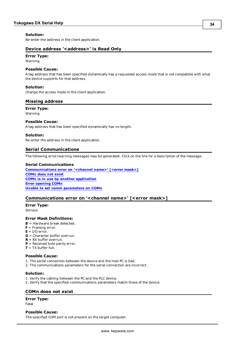## **Solution:**

<span id="page-33-0"></span>Re-enter the address in the client application.

## **Device address '<address>' is Read Only**

## **Error Type:**

Warning

## **Possible Cause:**

A tag address that has been specified dynamically has a requested access mode that is not compatible with what the device supports for that address.

## **Solution:**

<span id="page-33-1"></span>Change the access mode in the client application.

## **Missing address**

**Error Type:**

Warning

### **Possible Cause:**

A tag address that has been specified dynamically has no length.

### **Solution:**

<span id="page-33-2"></span>Re-enter the address in the client application.

## **Serial Communications**

The following error/warning messages may be generated. Click on the link for a description of the message.

#### **Serial Communications**

**[Communications](#page-33-3) [error](#page-33-3) [on](#page-33-3) ['<channel](#page-33-3) [name>'](#page-33-3) [\[<error](#page-33-3) [mask>\]](#page-33-3) [COMn](#page-33-4) [does](#page-33-4) [not](#page-33-4) [exist](#page-33-4) [COMn](#page-34-0) [is](#page-34-0) [in](#page-34-0) [use](#page-34-0) [by](#page-34-0) [another](#page-34-0) [application](#page-34-0) [Error](#page-34-1) [opening](#page-34-1) [COMn](#page-34-1) [Unable](#page-34-2) [to](#page-34-2) [set](#page-34-2) [comm](#page-34-2) [parameters](#page-34-2) [on](#page-34-2) [COMn](#page-34-2)**

## <span id="page-33-3"></span>**Communications error on '<channel name>' [<error mask>]**

**Error Type:**

Serious

## **Error Mask Definitions:**

- **B** = Hardware break detected.
- **F** = Framing error.
- $E = I/O$  error.
- **O** = Character buffer overrun.
- **R** = RX buffer overrun.
- **P** = Received byte parity error.
- **T** = TX buffer full.

## **Possible Cause:**

- 1. The serial connection between the device and the host PC is bad.
- 2. The communications parameters for the serial connection are incorrect.

#### **Solution:**

- 1. Verify the cabling between the PC and the PLC device.
- <span id="page-33-4"></span>2. Verify that the specified communications parameters match those of the device.

## **COMn does not exist**

#### **Error Type:**

Fatal

#### **Possible Cause:**

The specified COM port is not present on the target computer.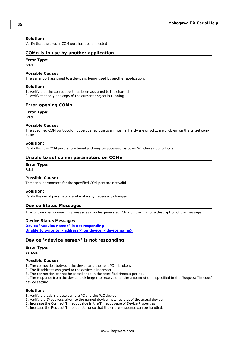#### **Solution:**

<span id="page-34-0"></span>Verify that the proper COM port has been selected.

## **COMn is in use by another application**

## **Error Type:**

Fatal

## **Possible Cause:**

The serial port assigned to a device is being used by another application.

#### **Solution:**

1. Verify that the correct port has been assigned to the channel.

<span id="page-34-1"></span>2. Verify that only one copy of the current project is running.

## **Error opening COMn**

#### **Error Type:**

Fatal

#### **Possible Cause:**

The specified COM port could not be opened due to an internal hardware or software problem on the target computer.

#### **Solution:**

<span id="page-34-2"></span>Verify that the COM port is functional and may be accessed by other Windows applications.

#### **Unable to set comm parameters on COMn**

#### **Error Type:**

Fatal

## **Possible Cause:**

The serial parameters for the specified COM port are not valid.

#### **Solution:**

<span id="page-34-3"></span>Verify the serial parameters and make any necessary changes.

### **Device Status Messages**

The following error/warning messages may be generated. Click on the link for a description of the message.

#### **Device Status Messages**

**[Device](#page-34-4) ['<device](#page-34-4) [name>'](#page-34-4) [is](#page-34-4) [not](#page-34-4) [responding](#page-34-4) [Unable](#page-35-0) [to](#page-35-0) [write](#page-35-0) [to](#page-35-0) ['<address>'](#page-35-0) [on](#page-35-0) [device](#page-35-0) ['<device](#page-35-0) [name>](#page-35-0)**

### <span id="page-34-4"></span>**Device '<device name>' is not responding**

## **Error Type:**

Serious

#### **Possible Cause:**

1. The connection between the device and the host PC is broken.

- 2. The IP address assigned to the device is incorrect.
- 3. The connection cannot be established in the specified timeout period.

4. The response from the device took longer to receive than the amount of time specified in the "Request Timeout" device setting.

#### **Solution:**

- 1. Verify the cabling between the PC and the PLC device.
- 2. Verify the IP address given to the named device matches that of the actual device.
- 3. Increase the Connect Timeout value in the Timeout page of Device Properties.
- 4. Increase the Request Timeout setting so that the entire response can be handled.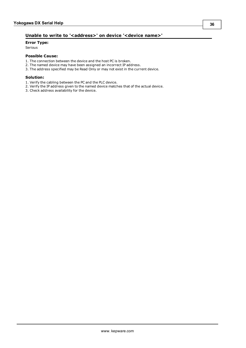## <span id="page-35-0"></span>Unable to write to '<address>' on device '<device name>'

## **Error Type:**

Serious

## **Possible Cause:**

- 1. The connection between the device and the host PC is broken.
- 2. The named device may have been assigned an incorrect IP address.
- 3. The address specified may be Read Only or may not exist in the current device.

#### **Solution:**

- 1. Verify the cabling between the PC and the PLC device.
- 2. Verify the IP address given to the named device matches that of the actual device.
- 3. Check address availability for the device.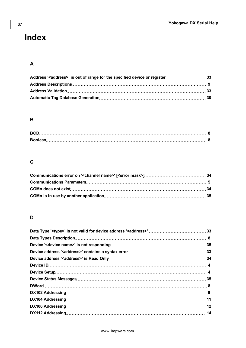# <span id="page-36-0"></span>**Index**

## **A**

## **B**

| <b>BCD</b> |  |
|------------|--|
|            |  |

## **C**

## **D**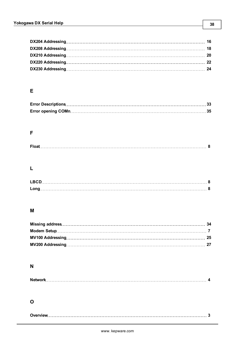## **E**

## **F**

|--|

## **L**

## **M**

## **N**

|--|--|--|

## **O**

|--|--|